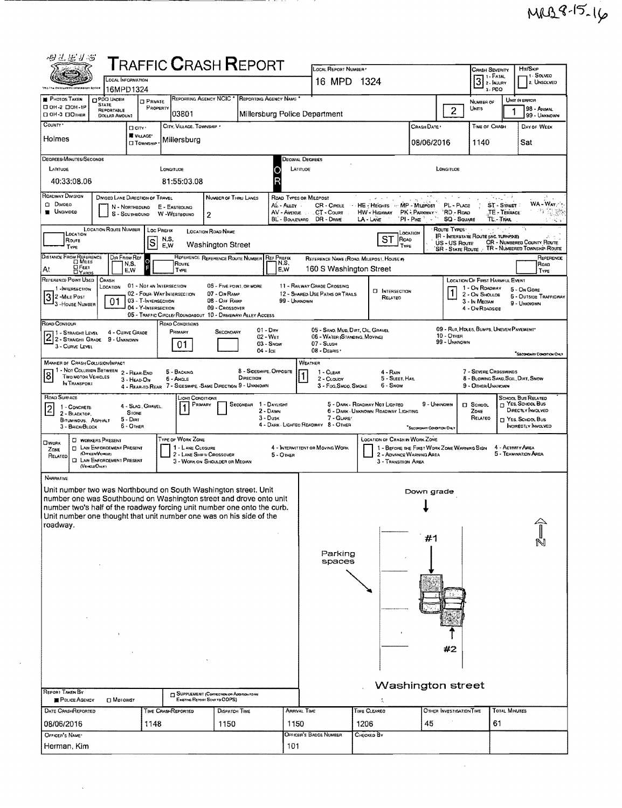| 四乙基乙酸                                                                                                                                          |                                                                   |                                 |                                              |                                                             |                                   |                                                 |                                |                                                                       |                                             |                           |                                                         |                                               |                               |  |  |  |
|------------------------------------------------------------------------------------------------------------------------------------------------|-------------------------------------------------------------------|---------------------------------|----------------------------------------------|-------------------------------------------------------------|-----------------------------------|-------------------------------------------------|--------------------------------|-----------------------------------------------------------------------|---------------------------------------------|---------------------------|---------------------------------------------------------|-----------------------------------------------|-------------------------------|--|--|--|
|                                                                                                                                                | <b>T</b> RAFFIC <b>C</b> RASH <b>R</b> EPORT<br>LOCAL INFORMATION |                                 |                                              |                                                             |                                   |                                                 |                                | LOCAL REPORT NUMBER<br>Htt/Skip<br><b>CRASH SEVERITY</b><br>1- SOLVED |                                             |                           |                                                         |                                               |                               |  |  |  |
| This the Entercament Information Agains                                                                                                        | 16MPD1324                                                         |                                 |                                              |                                                             |                                   |                                                 |                                | $3$ : Fatal<br>16 MPD 1324<br>2. UNSOLVED<br>$3 - PDO$                |                                             |                           |                                                         |                                               |                               |  |  |  |
| <b>PHOTOS TAKEN</b><br>D OH-2 DOH-1P                                                                                                           | <b>DPDO UNDER</b><br><b>STATE</b>                                 | <b>El Private</b><br>PROPERTY   | REPORTING AGENCY NCIC                        |                                                             | REPORTING AGENCY NAME             |                                                 |                                |                                                                       |                                             |                           | <b>NUMBER OF</b>                                        | UNIT IN ERROR                                 |                               |  |  |  |
| □ OH-3 □OTHER                                                                                                                                  | REPORTABLE<br>DOLLAR AMOUNT                                       |                                 | 03801                                        |                                                             | Millersburg Police Department     |                                                 |                                |                                                                       |                                             | $\overline{2}$            | Units                                                   |                                               | 98 - ANDIAL<br>99 - UNKNOWN   |  |  |  |
| COUNTY'                                                                                                                                        |                                                                   | <b>D</b> City '                 | CITY, VILLAGE, TOWNSHIP                      |                                                             |                                   |                                                 |                                |                                                                       | CRASH DATE                                  |                           | TIME OF CRASH                                           |                                               | DAY OF WEEK                   |  |  |  |
| Holmes                                                                                                                                         |                                                                   | VILLAGE*<br><b>CI TOWNSHIP</b>  | Millersburg                                  |                                                             |                                   |                                                 |                                |                                                                       | 08/06/2016                                  |                           | 1140                                                    | Sat                                           |                               |  |  |  |
| Degrees/Minutes/Seconds                                                                                                                        |                                                                   |                                 |                                              |                                                             |                                   | DECIMAL DEGREES                                 |                                |                                                                       |                                             |                           |                                                         |                                               |                               |  |  |  |
| LATITUDE                                                                                                                                       |                                                                   |                                 | LONGITUDE                                    |                                                             |                                   | LATITUDE                                        |                                |                                                                       |                                             | LONGITUDE                 |                                                         |                                               |                               |  |  |  |
| 40:33:08.06                                                                                                                                    |                                                                   |                                 | 81:55:03.08                                  |                                                             | R                                 |                                                 |                                |                                                                       |                                             |                           |                                                         |                                               |                               |  |  |  |
| Roadway Division                                                                                                                               | DIVIDED LANE DIRECTION OF TRAVEL                                  |                                 |                                              | NUMBER OF THRU LANES                                        |                                   | ROAD TYPES OR MILEPOST                          |                                |                                                                       |                                             |                           | Arra.                                                   |                                               |                               |  |  |  |
| Divideo                                                                                                                                        | N - NORTHBOUND                                                    |                                 | E - EASTBOUND                                |                                                             | AL-ALLEY                          | CR - CIRCLE                                     |                                | HE Heights MP - Millepost                                             |                                             | PL - PLACE                | ST - STREET                                             |                                               | WA-Way<br>冷気艷                 |  |  |  |
| <b>UNDIVIDED</b>                                                                                                                               | $S -$ SOUTHBOUND                                                  |                                 | W-WESTBOUND                                  | $\overline{c}$                                              | AV-AVENUE<br>BL - BOULEVARD       | .CT - Court<br>DR - DRIVE                       |                                | HW - Highway<br>LA - LANE                                             | PK - PARKWAY<br>$PI - P$ ike $^2$           | 'RD - Roap<br>SQ - SQUARE | TE - TERRACE<br>TL - Trai                               |                                               | -K. 1                         |  |  |  |
| LOCATION                                                                                                                                       | LOCATION ROUTE NUMBER                                             | LOC PREFIX                      |                                              | <b>LOCATION ROAD NAME</b>                                   |                                   |                                                 |                                |                                                                       | LOCATION                                    | Route Types:              | <b>IR - INTERSTATE ROUTE (INC. TURNPAG)</b>             |                                               |                               |  |  |  |
| Route<br>TYPE                                                                                                                                  |                                                                   | <b>S</b>                        | N,S,<br>E.W                                  | <b>Washington Street</b>                                    |                                   |                                                 |                                | ST ROAD<br>TYPE                                                       |                                             | US - US Route             | SR - STATE ROUTE : TR - NUMBERED TOWNSHIP ROUTE         |                                               | CR - NUMBERED COUNTY ROUTE    |  |  |  |
| DISTANCE FROM REFERENCE                                                                                                                        | DIR FROM REF                                                      |                                 |                                              | REFERENCE REFERENCE ROUTE NUMBER                            | <b>REF PREFIX</b>                 |                                                 |                                | REFERENCE NAME (ROAD, MILEPOST, HOUSE #)                              |                                             |                           |                                                         |                                               | REFERENCE                     |  |  |  |
| O Feet<br>At<br><b>LIYARDS</b>                                                                                                                 | N,S,<br>E.W                                                       |                                 | ROUTE<br>TYPE                                |                                                             | N.S.<br>E.W                       |                                                 |                                | 160 S Washington Street                                               |                                             |                           |                                                         |                                               | ROAD<br>TYPE                  |  |  |  |
| REFERENCE POINT USED<br>1-INTERSECTION                                                                                                         | CHASH<br>LOCATION                                                 | 01 - Not an Intersection        |                                              | 06 - Five Pow1, OR MORE                                     |                                   | 11 - RAILWAY GRADE CROSSING                     |                                |                                                                       |                                             |                           | LOCATION OF FIRST HARMFUL EVENT<br>1 - On ROADWAY       |                                               |                               |  |  |  |
| 3 2-MILE POST                                                                                                                                  |                                                                   | 03 - T-INTERSECTION             | 02 - Four-Way Intersection                   | 07 - ON RAMP<br>08 - OFF RAMP                               |                                   | 12 - SHARED-USE PATHS OR TRAILS<br>99 - UNKNDWN |                                | <b>U</b> INTERSECTION<br>RELATED                                      |                                             |                           | 2 - ON SHOULDE                                          | 5 - On Gore                                   | <b>6 - OUTSIDE TRAFFICWAY</b> |  |  |  |
| - 3 - House Number                                                                                                                             | 01                                                                | 04 - Y-INTERSECTION             |                                              | 09 - CROSSOVER                                              |                                   |                                                 |                                |                                                                       |                                             |                           | 3 - In Median<br>4 - On Roadside                        | 9 - UNKNOWN                                   |                               |  |  |  |
| ROAD CONTOUR                                                                                                                                   |                                                                   |                                 | <b>ROAD CONDITIONS</b>                       | 05 - TRAFFIC CIRCLE/ ROUNDABOUT 10 - DRIVEWAY/ ALLEY ACCESS |                                   |                                                 |                                |                                                                       |                                             |                           |                                                         |                                               |                               |  |  |  |
| 71 - Straight Level<br>2 2- STRAIGHT LEVEL 4 - CURVE CH                                                                                        | 4 - CURVE GRADE                                                   |                                 | PRIMARY                                      | SECONDARY                                                   | $01 - \text{Dry}$<br>02 - WET     |                                                 |                                | 05 - SANO, MUD, DIRT, OIL, GRAVEL<br>06 - WATER (STANDING, MOVING)    |                                             | 10 - Откен                | 09 - RUT, HOLES, BUMPS, UNEVEN PAVEMENT                 |                                               |                               |  |  |  |
| 3 - CURVE LEVEL                                                                                                                                |                                                                   |                                 | 01                                           |                                                             | 03 - Snow<br>$04 -$ Ice           | 07 - SLUSH<br>08 - DEBRIS                       |                                |                                                                       |                                             | 99 - UNKNOWN              |                                                         |                                               |                               |  |  |  |
| <b>MANNER OF CRASH COLLISION/IMPACT</b>                                                                                                        |                                                                   |                                 |                                              |                                                             |                                   | WEATHER                                         |                                |                                                                       |                                             |                           |                                                         |                                               | "Secondariv Condition Crity   |  |  |  |
| 1 - Not Colusion Between 2 - Rear-End<br>$\boldsymbol{8}$<br><b>TWO MOTOR VEHICLES</b>                                                         |                                                                   |                                 | 5 - BACKING                                  | DIRECTION                                                   | 8 - Sideswipe, Opposite           | 1 - CLEAR                                       |                                | 4 - Rain                                                              |                                             |                           | 7 - SEVERE CROSSWINDS                                   |                                               |                               |  |  |  |
| IN TRANSPORT                                                                                                                                   |                                                                   | 3 - HEAD ON                     | 6 - ANGLE                                    | 4 - REAR-TO-REAR 7 - SIDESWIPE - SAME DIRECTION 9 - UNKNOWN |                                   | 2 - CLOUDY                                      | 3 - Fog.Smoo.Smoke             | 5 - Sleet, Hail<br>6 - Snow                                           |                                             |                           | 8 - Blowing Sand, Soll, Dirt, Snow<br>9 - OTHER/UNKNOWN |                                               |                               |  |  |  |
| ROAD SURFACE                                                                                                                                   |                                                                   |                                 | LIGHT CONDITIONS                             |                                                             |                                   |                                                 |                                |                                                                       |                                             |                           |                                                         | SCHOOL BUS RELATED<br>T YES. SCHOOL BUS       |                               |  |  |  |
| 1 - CONCRETE<br>2 - BLACKTOP,                                                                                                                  |                                                                   | 4 - Slag Gravel<br><b>STONE</b> | PRIMARY                                      |                                                             | SECONDAR 1 - DAYLIGHT<br>2 - Dawn |                                                 |                                | 5 - DARK - ROADWAY NOT LIGHTED<br>6 - DARK - UNKNOWN ROADWAY LIGHTING | 9 - UNKNOWN                                 |                           | <b>IT SCHOOL</b><br>ZONE                                | DIRECTLY INVOLVED                             |                               |  |  |  |
| BITUMINOUS, ASPHALT<br>3 - BRICK/BLOCK                                                                                                         | 5 - Dirt<br>$6 -$ OTHER                                           |                                 |                                              |                                                             | $3 - D$ usk                       | 4 - DARK - LIGHTEO ROADWAY 8 - OTHER            | 7 - GLARE'                     |                                                                       | "SECONDARY CONDITION ONLY                   |                           | RELATED                                                 | $\Box$ Yes, School Bus<br>INDIRECTLY INVOLVED |                               |  |  |  |
| OWORK                                                                                                                                          | <b>C WORKERS PRESENT</b>                                          |                                 | TYPE OF WORK ZONE                            |                                                             |                                   |                                                 |                                | <b>LOCATION OF CRASH IN WORK ZONE</b>                                 |                                             |                           |                                                         |                                               |                               |  |  |  |
| ZONE                                                                                                                                           | <b>CI LAW ENFORCEMENT PRESENT</b><br>(OFFICER/VENDEL)             |                                 | 1 - LANE CLOSURE<br>2 - LANE SHIFT CROSSOVER |                                                             | $5 -$ OTHER                       | 4 - INTERMITTENT OR MOVING WORK                 |                                | 2 - ADVANCE WARNING AREA                                              | 1 - BEFORE THE FIRST WORK ZONE WARNING SIGN |                           |                                                         | 4 - ACTIVITY AREA<br>5 - TERMINATION AREA     |                               |  |  |  |
| RELATED<br>(VencusOnav)                                                                                                                        | <b>CI LAW ENFORCEMENT PRESENT</b>                                 |                                 |                                              | 3 - WORK ON SHOULDER OR MEDIAN                              |                                   |                                                 |                                | 3 - TRANSITION AREA                                                   |                                             |                           |                                                         |                                               |                               |  |  |  |
| NARRATIVE                                                                                                                                      |                                                                   |                                 |                                              |                                                             |                                   |                                                 |                                |                                                                       |                                             |                           |                                                         |                                               |                               |  |  |  |
| Unit number two was Northbound on South Washington street. Unit                                                                                |                                                                   |                                 |                                              |                                                             |                                   |                                                 |                                |                                                                       | Down grade                                  |                           |                                                         |                                               |                               |  |  |  |
| number one was Southbound on Washington street and drove onto unit                                                                             |                                                                   |                                 |                                              |                                                             |                                   |                                                 |                                |                                                                       |                                             |                           |                                                         |                                               |                               |  |  |  |
| number two's half of the roadway forcing unit number one onto the curb.<br>Unit number one thought that unit number one was on his side of the |                                                                   |                                 |                                              |                                                             |                                   |                                                 |                                |                                                                       |                                             |                           |                                                         |                                               |                               |  |  |  |
| roadway.                                                                                                                                       |                                                                   |                                 |                                              |                                                             |                                   |                                                 |                                |                                                                       |                                             |                           |                                                         |                                               |                               |  |  |  |
|                                                                                                                                                |                                                                   |                                 |                                              |                                                             |                                   |                                                 |                                |                                                                       | #1                                          |                           |                                                         |                                               |                               |  |  |  |
|                                                                                                                                                |                                                                   |                                 |                                              |                                                             |                                   |                                                 | Parking                        |                                                                       |                                             |                           |                                                         |                                               |                               |  |  |  |
|                                                                                                                                                |                                                                   |                                 |                                              |                                                             |                                   |                                                 | spaces                         |                                                                       |                                             |                           |                                                         |                                               |                               |  |  |  |
|                                                                                                                                                |                                                                   |                                 |                                              |                                                             |                                   |                                                 |                                |                                                                       |                                             |                           |                                                         |                                               |                               |  |  |  |
|                                                                                                                                                |                                                                   |                                 |                                              |                                                             |                                   |                                                 |                                |                                                                       |                                             |                           |                                                         |                                               |                               |  |  |  |
|                                                                                                                                                |                                                                   |                                 |                                              |                                                             |                                   |                                                 |                                |                                                                       |                                             |                           |                                                         |                                               |                               |  |  |  |
|                                                                                                                                                |                                                                   |                                 |                                              |                                                             |                                   |                                                 |                                |                                                                       |                                             |                           |                                                         |                                               |                               |  |  |  |
|                                                                                                                                                |                                                                   |                                 |                                              |                                                             |                                   |                                                 |                                |                                                                       |                                             |                           |                                                         |                                               |                               |  |  |  |
|                                                                                                                                                |                                                                   |                                 |                                              |                                                             |                                   |                                                 |                                |                                                                       |                                             |                           |                                                         |                                               |                               |  |  |  |
| #2                                                                                                                                             |                                                                   |                                 |                                              |                                                             |                                   |                                                 |                                |                                                                       |                                             |                           |                                                         |                                               |                               |  |  |  |
|                                                                                                                                                |                                                                   |                                 |                                              |                                                             |                                   |                                                 |                                |                                                                       |                                             |                           |                                                         |                                               |                               |  |  |  |
|                                                                                                                                                |                                                                   |                                 |                                              |                                                             |                                   |                                                 |                                |                                                                       |                                             |                           |                                                         |                                               |                               |  |  |  |
| <b>REPORT TAKEN BY</b>                                                                                                                         |                                                                   |                                 |                                              | <b>J</b> SUPPLEMENT (Correction on Acomon found             |                                   |                                                 |                                | Washington street                                                     |                                             |                           |                                                         |                                               |                               |  |  |  |
| POLICE AGENCY                                                                                                                                  | <b>CI MOTORIST</b>                                                |                                 |                                              | Existing Report Sent to ODPS)                               |                                   |                                                 |                                |                                                                       |                                             | OTHER INVESTIGATION TIME  |                                                         | <b>TOTAL MINUTES</b>                          |                               |  |  |  |
| <b>DATE CRASHREPORTED</b>                                                                                                                      |                                                                   |                                 | TIME CRASHREPORTED                           | <b>DISPATCH TIME</b>                                        |                                   | ARRIVAL TIME                                    |                                | TIME CLEARED                                                          |                                             |                           |                                                         |                                               |                               |  |  |  |
| 08/06/2016<br>OFFICER'S NAME'                                                                                                                  |                                                                   | 1148                            |                                              | 1150                                                        |                                   | 1150<br>OFFICER'S BADGE NUMBER                  | 1206<br>45<br>61<br>CHECKED BY |                                                                       |                                             |                           |                                                         |                                               |                               |  |  |  |
| Herman, Kim                                                                                                                                    |                                                                   |                                 |                                              |                                                             |                                   | 101                                             |                                |                                                                       |                                             |                           |                                                         |                                               |                               |  |  |  |
|                                                                                                                                                |                                                                   |                                 |                                              |                                                             |                                   |                                                 |                                |                                                                       |                                             |                           |                                                         |                                               |                               |  |  |  |
|                                                                                                                                                |                                                                   |                                 |                                              |                                                             |                                   |                                                 |                                |                                                                       |                                             |                           |                                                         |                                               |                               |  |  |  |

 $\mathcal{L}_{\mathcal{A}}$ 

 $\bar{\lambda}$ 

 $\mathcal{A}^{\mathcal{A}}$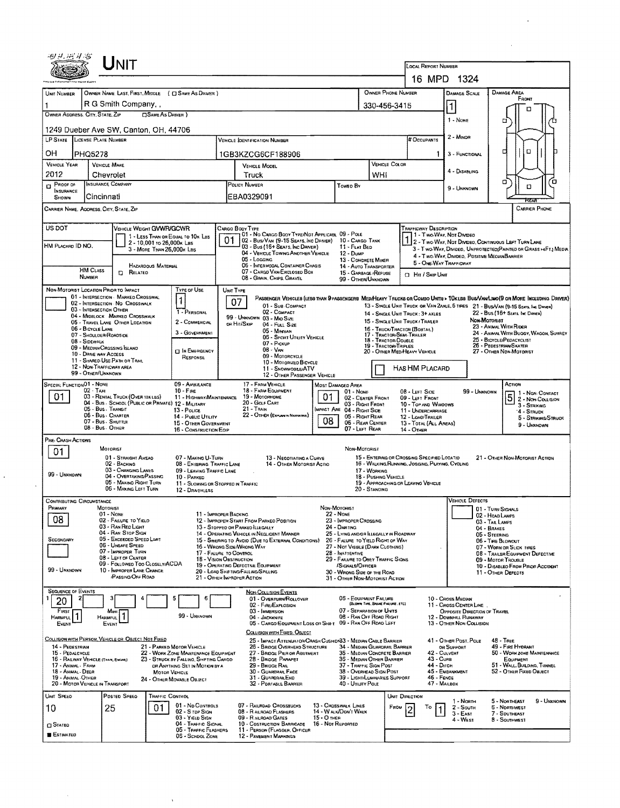| 16 MPD 1324<br>OWNER PHONE NUMBER<br>DAMAGE AREA<br>OWNER NAME, LAST, FIRST, MIDDLE ( C) SAME AS DRIVER )<br><b>DAMAGE SCALE</b><br>UNIT NUMBER<br>FRONT<br>R G Smith Company,<br>$\vert$ 1<br>330-456-3415<br>п<br>OWNER ADDRESS. CITY, STATE, ZIP<br>□ SAME AS DRIVER )<br>1 - NONE<br>п<br>1249 Dueber Ave SW, Canton, OH, 44706<br>2 - MINOR<br>LP STATE LICENSE PLATE NUMBER<br># OCCUPANTS<br><b>VEHICLE IDENTIFICATION NUMBER</b><br>а<br>O<br>OН<br><b>PHQ5278</b><br>1GB3KZCG6CF188906<br>3 - FUNCTIONAL<br>VEHICLE COLOR<br><b>VEHICLE YEAR</b><br><b>VEHICLE MAKE</b><br><b>VEHICLE MODEL</b><br>4 - DISABUNG<br>2012<br>WHI<br>Chevrolet<br>Truck<br>а<br>Ό<br>INSURANCE COMPANY<br><b>POLICY NUMBER</b><br>$D$ Proof or<br>Toweo By<br>о<br>9 - UNKNOWN<br>INSURANCE<br>EBA0329091<br>Cincinnati<br><b>SHOWN</b><br>CARRIER NAME, AODRESS, CITY, STATE, ZIP<br>CARRIER PHONE<br>US DOT<br>VEHICLE WEIGHT GVWR/GCWR<br>CARGO BODY TYPE<br>TRAFFICWAY DESCRIPTION<br>01 - No CARGO BODY TYPE/NOT APPLICABL 09 - POLE<br>11 - Two Way, Not Divideo<br>1 - LESS THAN OR EQUAL TO 10K LBS<br>01<br>02 - Bus/Van (9-15 Seats, Inc Driver)<br>10 - CARGO TANK<br>2 - Two WAY, NOT DIVIDEO, CONTINUOUS LEFT TURN LANE<br>2 - 10,001 to 26,000x Las<br>HM PLACARD ID NO.<br>03 - Bus (16+ Sears, Inc Danea)<br>11 - FLAT BED<br>3 - Two-Way, Divideo, Unprotecteo(Painted or Grass >4F1.) Media<br>3 - MORE THAN 26,000K LBS<br>04 - VEHICLE TOWING ANOTHER VEHICLE<br>12 - Duse<br>4 - Two WAY, DIVIDEO, POSITIVE MEOIANBARRIER<br>05 - LOGGING<br>13 - CONCRETE MIXER<br>5 - ONE-WAY TRAFFICWAY<br><b>06 - INTERMODAL CONTAINER CHASIS</b><br><b>HAZARDOUS MATERIAL</b><br>14 - AUTO TRANSPORTER<br><b>HM CLASS</b><br>07 - CARGO VAN/ENCLOSED BOX<br><b>CI RELATED</b><br>15 - GARBAGE / REFUSE<br><b>D</b> Hit / Skip Unit<br><b>NUMBER</b><br>08 - GRAIN, CHPS, GRAVEL<br>99 - OTHER/UNKNOWN<br>NON-MOTORIST LOCATION PRIOR TO IMPACT<br>Type of Use<br>UNIT TYPE<br>01 - INTERSECTION MARKED CROSSWAL<br>PASSENGER VEHICLES (LESS THAN 9 PASSENGERS MEDIHEAVY TRUCKS OR COMBO UNITS > TOKLES BUS/VAN/LIMO(9 OR MORE INCLUDING DRIVER)<br>$\mathbf{1}$<br>07<br>02 - INTERSECTION NO CROSSWALK<br>01 - Sub-COMPACT<br>13 - SINGLE UNIT TRUCK OR VAN ZAXLE, 6 TRES 21 - BUS/VAN (9-15 SEATS, INC DRIVER)<br>03 - INTERSECTION OTHER<br>02 - COMPACT<br>1 - PERSONAL<br>22 - Bus (16+ SEATS, INC DAVER)<br>14 - SINGLE UNIT TRUCK 3+ AXLES<br>04 - MIDBLOCK MARKED CROSSWALK<br>99 - UNKNOWN 03 - MIO SIZE<br>Non-Mororuar<br>15 - Single Unit Truck / Trater<br>2 - COMMERCIAL<br>05 - TRAVEL LANE OTHER LOCATION<br>or Hit/Skip<br>04 - Full Size<br>23 - ANMAL WITH RIDER<br>06 - BICYCLE LANE<br>16 - TRUCK/TRACTOR (BOBTAIL)<br>05 - Minivan<br>3 - GOVERNMENT<br>24 - ANMAL WITH BUGGY, WAGON, SURREY<br>17 - Tractor/Semi-Trailer<br>07 - SHOULDER/ROADSIDE<br>06 - Sport Utruty Vehicle<br>25 - BICYCLE/PEDACYCLIST<br>18 - TRACTOR/DOUBLE<br>08 - SIDEWALK<br>07 - Pickup<br>26 - PEDESTRIAN/SKATER<br>19 - TRACTOR/TRIPLES<br>09 - MEDIAN/CROSSING ISLAND<br>$08 - VAN$<br><b>CI IN EMERGENCY</b><br>20 - OTHER MED/HEAVY VEHICLE<br>27 - OTHER NON-MOTORIST<br>10 - DRIVE WAY ACCESS<br>09 - Motorcycle<br>RESPONSE<br>11 - SHARED-USE PATH OR TRAIL<br>10 - MOTORIZEO BICYCLE<br>12 - NON-TRAFFICWAY AREA<br>HAS HM PLACARD<br>11 - SNOWMOBLE/ATV<br>99 - OTHER/UNKNOWN<br>12 - OTHER PASSENGER VEHICLE<br>SPECIAL FUNCTION 01 - NONE<br>09 - AMBULANCE<br>17 - FARM VEHICLE<br>Action<br>MOST DAMAGED AREA<br>$02 - TAX1$<br>$10 - F$ IRE<br>18 - FARM EQUIPMENT<br>$01 - \text{Now}$<br>08 - LEFT SIDE<br>99 - Unknown<br>1 - NON CONTACT<br>$\overline{5}$<br>01<br>01<br>03 - RENTAL TRUCK (OVER 10X LBS)<br>19 - Мотопноме<br>11 - HIGHWAY/MAINTENANCE<br>02 - CENTER FRONT<br>09 - LEFT FRONT<br>2 - NON-COLUSION<br>04 - Bus - SCHODL (PUBLIC OR PRIVATE) 12 - MILITARY<br>20 - GOLF CART<br>03 - RIGHT FRONT<br>10 - Top AND WINDOWS<br>3 - STRIKING<br>05 - Bus. Transit<br>$21 -$ Train<br>IMPACT ARE 04 - RIGHT SIDE<br>13 - Pouce<br>11 - UNDERCARRIAGE<br>'4 - Struck<br>22 - OTHER (EXPLAN IN NARRATIVE)<br>06 - Bus - Charter<br>14 - PUBLIC UTILITY<br>05 - Right Rear<br>12 - LOAO/TRAILER<br>5 - STRIKING/STRUCK<br>08<br>07 - Bus - SHUTTLE<br>06 - REAR CENTER<br>15 - OTHER GOVERNMENT<br>13 - TOTAL (ALL AREAS)<br>9 - UNKNOWN<br>08 - Bus. OTHER<br>07 - LEFT REAR<br>16 - CONSTRUCTION EOIP<br>14 - OTHER<br>PRE- CRASH ACTIONS<br>MOTORIST<br>NON-MOTORIST<br>01<br>01 - STRAIGHT AHEAO<br>15 - ENTERING OR CROSSING SPECIFIED LOCATIO<br>07 - MAKING U-TURN<br>13 - NEGOTIATING A CURVE<br>21 - OTHER NON-MOTORIST ACTION<br>02 - BACKING<br>16 - WALKING, RUNNING, JOGGING, PLAYING, CYCLING<br>08 - ENTERING TRAFFIC LANE<br>14 - OTHER MOTORIST ACTIO<br>03 - CHANGING LANES<br>09 - LEAVING TRAFFIC LANE<br>17 - WORKING<br>99 - UNKNOWN<br>04 - OVERTAKING/PASSING<br>18 - PUSHING VEHICLE<br>10 - PARKED<br>05 - MAKING RIGHT TURN<br>19 - APPROACHING OR LEAVING VEHICLE<br>11 - SLOWING OR STOPPED IN TRAFFIC<br>06 - MAKING LEFT TURN<br>20 - STANDING<br>12 - DRNEWLESS<br><b>VEHICLE DEFECTS</b><br>CONTRIBUTING CIRCUMSTANCE<br>Primary<br>MOTORIST<br>NON-MOTORIST<br>01 - TURN SIGNALS<br>$01 - \text{None}$<br>11 - IMPROPER BACKING<br><b>22 - NONE</b><br>02 - HEAD LAMPS<br>08<br>02 - FAILURE TO YIELD<br>12 - IMPROPEH START FROM PARKEO POSITION<br>23 - IMPROPER CROSSING<br>03 - TAIL LAMPS<br>03 - RAN REO LIGHT<br>13 - STOPPED OR PARKED ILLEGALLY<br>24 - DARTING<br>04 - BRAKES<br>04 - RAN STOP SIGN<br>25 - LYING AND/OR ILLEGALLY IN ROADWAY<br>14 - OPERATING VEHICLE IN NEGLIGENT MANNER<br>05 - STEERING<br>05 - Excesoed Speed Limit<br>SECONDARY<br>15 - Swering to Avdid (Due to External Conditions)<br>26 - FALURE TO YIELD RIGHT OF WAY<br>06 - TIRE BLOWOUT<br>06 - UNSAFE SPEED<br>16 - WRONG SIDE/WRONG WAY<br>27 - Not Visible (DARK CLOTHING)<br>07 - WORN OR SLICK TIRES<br>07 - IMPROPER TURN<br>17 - FALURE TO CONTROL<br>28 - INATTENTIVE<br>08 - TRAILER EQUIPMENT DEFECTIVE<br>08 - LEFT OF CENTER<br>18 - VISION OBSTRUCTION<br>29 - FAILURE TO OBEY TRAFFIC SIGNS<br>09 - MOTOR TROUBLE<br>09 - FOLLOWED TOO CLOSELY/ACDA<br>19 - OPERATING DEFECTIVE EQUIPMENT<br>/SIGNALS/OFFICER<br>10 - DISABLED FROM PRIOR ACCIDENT<br>99 - UNKNOWN<br>10 - IMPROPER LANE CHANGE<br>20 - LOAD SHIFTING/FALLING/SPILLING<br>30 - WRONG SIDE OF THE ROAD<br>11 - OTHER DEFECTS<br>PASSING/OFF ROAD<br>21 - OTHEH IMPROPER ACTION<br>31 - OTHER NON-MOTORIST ACTION<br><b>SEQUENCE OF EVENTS</b><br><b>NON-COLLISION EVENTS</b><br>06 - EQUIPMENT FAILURE<br>5<br>6<br>01 - OVERTURN/ROLLOVER<br>10 - CROSS MEDIAN<br>20<br>(BLOWN TIME, BRAKE FAILURE, ETC)<br>02 - FIRE/EXPLOSION<br>11 - CROSS CENTER LINE<br>07 - SEPARATION OF UNITS<br>03 - IMMERSION<br>First<br>OPPOSITE DIRECTION OF TRAVEL<br>Most<br>$\mathbf{1}$<br>99 - UNKNOWN<br>08 - RAN OFF ROAD RIGHT<br>04 - JACKKNIFE<br>12 - DOWNHILL RUNAWAY<br><b>HARMFUL</b><br><b>HAHMFUL</b><br>05 - CARGO/EQUIPMENT LOSS OR SHIFT 09 - RAN OFF ROAD LEFT<br>13 - OTHER NON-COLLISION<br>EVENT<br>EVENT<br>COLLISION WITH FIXED, OBJECT<br>COLLISION WITH PERSON, VEHICLE OR OBJECT NOT FIXED<br>25 - IMPACT ATTENUATOR/CRASH CUSHIDI83 - MEDIAN CABLE BARRIER<br>41 - OTHER POST, POLE<br>48 - TREE<br>14 - PEDESTRIAN<br>21 - PARKED MOTOR VEHICLE<br>49 - FIRE HYDRANT<br>26 - BRIDGE OVERHEAD STRUCTURE<br>34 - Median Guardrail Barrier<br>OR SUPPORT<br>15 - PEDALCYCLE<br>22 - WORK ZONE MAINTENANCE EQUIPMENT<br>27 - BRIDGE PIER OR ABUTMENT<br>35 - MEDIAN CONCRETE BARRIER<br>42 - CULVERT<br>50 - WORKZONE MAINTENANCE<br>43 - Cuna<br>16 - RAILWAY VEHICLE (THAN, ENGINE)<br>23 - STRUCK BY FALLING, SHIFTING CARGO<br>28 - BRIDGE PARAPET<br>36 - MEDIAN OTHER BARRIER<br>EQUIPMENT<br>37 - Traffic Sign Post<br>44 - Опси<br>51 - WALL, BUILDING, TUNNEL<br>17 - Andial - Farin<br>OR ANYTHING SET IN MOTION BY A<br>29 - BRIDGE RAIL<br>45 - EMBANKMENT<br>38 - Overhead Sign Post<br>52 - OTHER FIXED OBJECT<br>18 - ANIMAL DEER<br>30 - GUARDRAIL FACE<br><b>MOTOR VEHICLE</b><br>39 - LIGHT/LUMINARIES SUPPORT<br>46 - FENCE<br>19 - ANIMAL OTHER<br>31 - GUARDRAILEND<br>24 - Отнея Моуавье Овілст<br>47 - MAILBOX<br>20 - MOTOR VEHICLE IN TRANSPORT<br>40 - Unury Pole<br>32 - PORTABLE BARRIER<br>UNIT SPEED<br>Posted SPEED<br><b>TRAFFIC CONTROL</b><br>UNIT DIRECTION<br>9 - UNKNOWN<br>1 - North<br>5 - NORTHEAST<br>01 - No CONTROLS<br>07 - RAILRDAD CROSSBUCKS<br>13 - CROSSWALK LINES<br>25<br>01<br>FROM<br>То<br>2 - South<br><b>6 - NORTHWEST</b><br>10<br>02 - S TOP SIGN<br>08 - RAILROAD FLASHERS<br>14 - WALK/DON'T WALK<br>$3 - E$ AST<br>7 - SDUTHEAST<br>03 - YIELD SIGN<br>09 - RALROAD GATES<br>$15 - 0$ Then<br>4 - West<br>8 - Southwest<br>04 - THAFFIC SIGNAL<br>10 - COSTRUCTION BARRICADE<br>16 - Not REPORTED<br><b>CI STATED</b><br>05 - TRAFFIC FLASHERS<br>11 - PERSON (FLAGGER, OFFICER<br><b>ESTIMATED</b><br>06 - SCHOOL ZONE<br>12 - PAVEMENT MARKINGS | Unit |  |  |                     |  |  |  |  |  |  |  |  |  |
|---------------------------------------------------------------------------------------------------------------------------------------------------------------------------------------------------------------------------------------------------------------------------------------------------------------------------------------------------------------------------------------------------------------------------------------------------------------------------------------------------------------------------------------------------------------------------------------------------------------------------------------------------------------------------------------------------------------------------------------------------------------------------------------------------------------------------------------------------------------------------------------------------------------------------------------------------------------------------------------------------------------------------------------------------------------------------------------------------------------------------------------------------------------------------------------------------------------------------------------------------------------------------------------------------------------------------------------------------------------------------------------------------------------------------------------------------------------------------------------------------------------------------------------------------------------------------------------------------------------------------------------------------------------------------------------------------------------------------------------------------------------------------------------------------------------------------------------------------------------------------------------------------------------------------------------------------------------------------------------------------------------------------------------------------------------------------------------------------------------------------------------------------------------------------------------------------------------------------------------------------------------------------------------------------------------------------------------------------------------------------------------------------------------------------------------------------------------------------------------------------------------------------------------------------------------------------------------------------------------------------------------------------------------------------------------------------------------------------------------------------------------------------------------------------------------------------------------------------------------------------------------------------------------------------------------------------------------------------------------------------------------------------------------------------------------------------------------------------------------------------------------------------------------------------------------------------------------------------------------------------------------------------------------------------------------------------------------------------------------------------------------------------------------------------------------------------------------------------------------------------------------------------------------------------------------------------------------------------------------------------------------------------------------------------------------------------------------------------------------------------------------------------------------------------------------------------------------------------------------------------------------------------------------------------------------------------------------------------------------------------------------------------------------------------------------------------------------------------------------------------------------------------------------------------------------------------------------------------------------------------------------------------------------------------------------------------------------------------------------------------------------------------------------------------------------------------------------------------------------------------------------------------------------------------------------------------------------------------------------------------------------------------------------------------------------------------------------------------------------------------------------------------------------------------------------------------------------------------------------------------------------------------------------------------------------------------------------------------------------------------------------------------------------------------------------------------------------------------------------------------------------------------------------------------------------------------------------------------------------------------------------------------------------------------------------------------------------------------------------------------------------------------------------------------------------------------------------------------------------------------------------------------------------------------------------------------------------------------------------------------------------------------------------------------------------------------------------------------------------------------------------------------------------------------------------------------------------------------------------------------------------------------------------------------------------------------------------------------------------------------------------------------------------------------------------------------------------------------------------------------------------------------------------------------------------------------------------------------------------------------------------------------------------------------------------------------------------------------------------------------------------------------------------------------------------------------------------------------------------------------------------------------------------------------------------------------------------------------------------------------------------------------------------------------------------------------------------------------------------------------------------------------------------------------------------------------------------------------------------------------------------------------------------------------------------------------------------------------------------------------------------------------------------------------------------------------------------------------------------------------------------------------------------------------------------------------------------------------------------------------------------------------------------------------------------------------------------------------------------------------------------------------------------------------------------------------------------------------------------------------------------------------------------------------------------------------------------------------------------------------------------------------------------------------------------------------------------------------------------------------------------------------------------------------------------------------------------------------------------------------------------------------------------------------------------------------------------------------------------------------------------------------------------------------------------------------------------------------------------------------------------------------------------------------------------------------------------------------------------------------------------------------------------------------------------------------------------------------------------------------------------------------------------------------------------------------------------------------------------------------------------------------------------------------------------------------------------------------------------------------------------------------------------------------------------------------------------------------------------------------------------------------------------------------------------------------------------------------------------------------------------------------------------------------------------------------------------------------------------------------------------------------------------------------------------|------|--|--|---------------------|--|--|--|--|--|--|--|--|--|
|                                                                                                                                                                                                                                                                                                                                                                                                                                                                                                                                                                                                                                                                                                                                                                                                                                                                                                                                                                                                                                                                                                                                                                                                                                                                                                                                                                                                                                                                                                                                                                                                                                                                                                                                                                                                                                                                                                                                                                                                                                                                                                                                                                                                                                                                                                                                                                                                                                                                                                                                                                                                                                                                                                                                                                                                                                                                                                                                                                                                                                                                                                                                                                                                                                                                                                                                                                                                                                                                                                                                                                                                                                                                                                                                                                                                                                                                                                                                                                                                                                                                                                                                                                                                                                                                                                                                                                                                                                                                                                                                                                                                                                                                                                                                                                                                                                                                                                                                                                                                                                                                                                                                                                                                                                                                                                                                                                                                                                                                                                                                                                                                                                                                                                                                                                                                                                                                                                                                                                                                                                                                                                                                                                                                                                                                                                                                                                                                                                                                                                                                                                                                                                                                                                                                                                                                                                                                                                                                                                                                                                                                                                                                                                                                                                                                                                                                                                                                                                                                                                                                                                                                                                                                                                                                                                                                                                                                                                                                                                                                                                                                                                                                                                                                                                                                                                                                                                                                                                                                                                                                                                                                                                                                                                                                                                                                                                                                                                                                                                                                                                                               |      |  |  | LOCAL REPORT NUMBER |  |  |  |  |  |  |  |  |  |
|                                                                                                                                                                                                                                                                                                                                                                                                                                                                                                                                                                                                                                                                                                                                                                                                                                                                                                                                                                                                                                                                                                                                                                                                                                                                                                                                                                                                                                                                                                                                                                                                                                                                                                                                                                                                                                                                                                                                                                                                                                                                                                                                                                                                                                                                                                                                                                                                                                                                                                                                                                                                                                                                                                                                                                                                                                                                                                                                                                                                                                                                                                                                                                                                                                                                                                                                                                                                                                                                                                                                                                                                                                                                                                                                                                                                                                                                                                                                                                                                                                                                                                                                                                                                                                                                                                                                                                                                                                                                                                                                                                                                                                                                                                                                                                                                                                                                                                                                                                                                                                                                                                                                                                                                                                                                                                                                                                                                                                                                                                                                                                                                                                                                                                                                                                                                                                                                                                                                                                                                                                                                                                                                                                                                                                                                                                                                                                                                                                                                                                                                                                                                                                                                                                                                                                                                                                                                                                                                                                                                                                                                                                                                                                                                                                                                                                                                                                                                                                                                                                                                                                                                                                                                                                                                                                                                                                                                                                                                                                                                                                                                                                                                                                                                                                                                                                                                                                                                                                                                                                                                                                                                                                                                                                                                                                                                                                                                                                                                                                                                                                                               |      |  |  |                     |  |  |  |  |  |  |  |  |  |
|                                                                                                                                                                                                                                                                                                                                                                                                                                                                                                                                                                                                                                                                                                                                                                                                                                                                                                                                                                                                                                                                                                                                                                                                                                                                                                                                                                                                                                                                                                                                                                                                                                                                                                                                                                                                                                                                                                                                                                                                                                                                                                                                                                                                                                                                                                                                                                                                                                                                                                                                                                                                                                                                                                                                                                                                                                                                                                                                                                                                                                                                                                                                                                                                                                                                                                                                                                                                                                                                                                                                                                                                                                                                                                                                                                                                                                                                                                                                                                                                                                                                                                                                                                                                                                                                                                                                                                                                                                                                                                                                                                                                                                                                                                                                                                                                                                                                                                                                                                                                                                                                                                                                                                                                                                                                                                                                                                                                                                                                                                                                                                                                                                                                                                                                                                                                                                                                                                                                                                                                                                                                                                                                                                                                                                                                                                                                                                                                                                                                                                                                                                                                                                                                                                                                                                                                                                                                                                                                                                                                                                                                                                                                                                                                                                                                                                                                                                                                                                                                                                                                                                                                                                                                                                                                                                                                                                                                                                                                                                                                                                                                                                                                                                                                                                                                                                                                                                                                                                                                                                                                                                                                                                                                                                                                                                                                                                                                                                                                                                                                                                                               |      |  |  |                     |  |  |  |  |  |  |  |  |  |
|                                                                                                                                                                                                                                                                                                                                                                                                                                                                                                                                                                                                                                                                                                                                                                                                                                                                                                                                                                                                                                                                                                                                                                                                                                                                                                                                                                                                                                                                                                                                                                                                                                                                                                                                                                                                                                                                                                                                                                                                                                                                                                                                                                                                                                                                                                                                                                                                                                                                                                                                                                                                                                                                                                                                                                                                                                                                                                                                                                                                                                                                                                                                                                                                                                                                                                                                                                                                                                                                                                                                                                                                                                                                                                                                                                                                                                                                                                                                                                                                                                                                                                                                                                                                                                                                                                                                                                                                                                                                                                                                                                                                                                                                                                                                                                                                                                                                                                                                                                                                                                                                                                                                                                                                                                                                                                                                                                                                                                                                                                                                                                                                                                                                                                                                                                                                                                                                                                                                                                                                                                                                                                                                                                                                                                                                                                                                                                                                                                                                                                                                                                                                                                                                                                                                                                                                                                                                                                                                                                                                                                                                                                                                                                                                                                                                                                                                                                                                                                                                                                                                                                                                                                                                                                                                                                                                                                                                                                                                                                                                                                                                                                                                                                                                                                                                                                                                                                                                                                                                                                                                                                                                                                                                                                                                                                                                                                                                                                                                                                                                                                                               |      |  |  |                     |  |  |  |  |  |  |  |  |  |
|                                                                                                                                                                                                                                                                                                                                                                                                                                                                                                                                                                                                                                                                                                                                                                                                                                                                                                                                                                                                                                                                                                                                                                                                                                                                                                                                                                                                                                                                                                                                                                                                                                                                                                                                                                                                                                                                                                                                                                                                                                                                                                                                                                                                                                                                                                                                                                                                                                                                                                                                                                                                                                                                                                                                                                                                                                                                                                                                                                                                                                                                                                                                                                                                                                                                                                                                                                                                                                                                                                                                                                                                                                                                                                                                                                                                                                                                                                                                                                                                                                                                                                                                                                                                                                                                                                                                                                                                                                                                                                                                                                                                                                                                                                                                                                                                                                                                                                                                                                                                                                                                                                                                                                                                                                                                                                                                                                                                                                                                                                                                                                                                                                                                                                                                                                                                                                                                                                                                                                                                                                                                                                                                                                                                                                                                                                                                                                                                                                                                                                                                                                                                                                                                                                                                                                                                                                                                                                                                                                                                                                                                                                                                                                                                                                                                                                                                                                                                                                                                                                                                                                                                                                                                                                                                                                                                                                                                                                                                                                                                                                                                                                                                                                                                                                                                                                                                                                                                                                                                                                                                                                                                                                                                                                                                                                                                                                                                                                                                                                                                                                                               |      |  |  |                     |  |  |  |  |  |  |  |  |  |
|                                                                                                                                                                                                                                                                                                                                                                                                                                                                                                                                                                                                                                                                                                                                                                                                                                                                                                                                                                                                                                                                                                                                                                                                                                                                                                                                                                                                                                                                                                                                                                                                                                                                                                                                                                                                                                                                                                                                                                                                                                                                                                                                                                                                                                                                                                                                                                                                                                                                                                                                                                                                                                                                                                                                                                                                                                                                                                                                                                                                                                                                                                                                                                                                                                                                                                                                                                                                                                                                                                                                                                                                                                                                                                                                                                                                                                                                                                                                                                                                                                                                                                                                                                                                                                                                                                                                                                                                                                                                                                                                                                                                                                                                                                                                                                                                                                                                                                                                                                                                                                                                                                                                                                                                                                                                                                                                                                                                                                                                                                                                                                                                                                                                                                                                                                                                                                                                                                                                                                                                                                                                                                                                                                                                                                                                                                                                                                                                                                                                                                                                                                                                                                                                                                                                                                                                                                                                                                                                                                                                                                                                                                                                                                                                                                                                                                                                                                                                                                                                                                                                                                                                                                                                                                                                                                                                                                                                                                                                                                                                                                                                                                                                                                                                                                                                                                                                                                                                                                                                                                                                                                                                                                                                                                                                                                                                                                                                                                                                                                                                                                                               |      |  |  |                     |  |  |  |  |  |  |  |  |  |
|                                                                                                                                                                                                                                                                                                                                                                                                                                                                                                                                                                                                                                                                                                                                                                                                                                                                                                                                                                                                                                                                                                                                                                                                                                                                                                                                                                                                                                                                                                                                                                                                                                                                                                                                                                                                                                                                                                                                                                                                                                                                                                                                                                                                                                                                                                                                                                                                                                                                                                                                                                                                                                                                                                                                                                                                                                                                                                                                                                                                                                                                                                                                                                                                                                                                                                                                                                                                                                                                                                                                                                                                                                                                                                                                                                                                                                                                                                                                                                                                                                                                                                                                                                                                                                                                                                                                                                                                                                                                                                                                                                                                                                                                                                                                                                                                                                                                                                                                                                                                                                                                                                                                                                                                                                                                                                                                                                                                                                                                                                                                                                                                                                                                                                                                                                                                                                                                                                                                                                                                                                                                                                                                                                                                                                                                                                                                                                                                                                                                                                                                                                                                                                                                                                                                                                                                                                                                                                                                                                                                                                                                                                                                                                                                                                                                                                                                                                                                                                                                                                                                                                                                                                                                                                                                                                                                                                                                                                                                                                                                                                                                                                                                                                                                                                                                                                                                                                                                                                                                                                                                                                                                                                                                                                                                                                                                                                                                                                                                                                                                                                                               |      |  |  |                     |  |  |  |  |  |  |  |  |  |
|                                                                                                                                                                                                                                                                                                                                                                                                                                                                                                                                                                                                                                                                                                                                                                                                                                                                                                                                                                                                                                                                                                                                                                                                                                                                                                                                                                                                                                                                                                                                                                                                                                                                                                                                                                                                                                                                                                                                                                                                                                                                                                                                                                                                                                                                                                                                                                                                                                                                                                                                                                                                                                                                                                                                                                                                                                                                                                                                                                                                                                                                                                                                                                                                                                                                                                                                                                                                                                                                                                                                                                                                                                                                                                                                                                                                                                                                                                                                                                                                                                                                                                                                                                                                                                                                                                                                                                                                                                                                                                                                                                                                                                                                                                                                                                                                                                                                                                                                                                                                                                                                                                                                                                                                                                                                                                                                                                                                                                                                                                                                                                                                                                                                                                                                                                                                                                                                                                                                                                                                                                                                                                                                                                                                                                                                                                                                                                                                                                                                                                                                                                                                                                                                                                                                                                                                                                                                                                                                                                                                                                                                                                                                                                                                                                                                                                                                                                                                                                                                                                                                                                                                                                                                                                                                                                                                                                                                                                                                                                                                                                                                                                                                                                                                                                                                                                                                                                                                                                                                                                                                                                                                                                                                                                                                                                                                                                                                                                                                                                                                                                                               |      |  |  |                     |  |  |  |  |  |  |  |  |  |
|                                                                                                                                                                                                                                                                                                                                                                                                                                                                                                                                                                                                                                                                                                                                                                                                                                                                                                                                                                                                                                                                                                                                                                                                                                                                                                                                                                                                                                                                                                                                                                                                                                                                                                                                                                                                                                                                                                                                                                                                                                                                                                                                                                                                                                                                                                                                                                                                                                                                                                                                                                                                                                                                                                                                                                                                                                                                                                                                                                                                                                                                                                                                                                                                                                                                                                                                                                                                                                                                                                                                                                                                                                                                                                                                                                                                                                                                                                                                                                                                                                                                                                                                                                                                                                                                                                                                                                                                                                                                                                                                                                                                                                                                                                                                                                                                                                                                                                                                                                                                                                                                                                                                                                                                                                                                                                                                                                                                                                                                                                                                                                                                                                                                                                                                                                                                                                                                                                                                                                                                                                                                                                                                                                                                                                                                                                                                                                                                                                                                                                                                                                                                                                                                                                                                                                                                                                                                                                                                                                                                                                                                                                                                                                                                                                                                                                                                                                                                                                                                                                                                                                                                                                                                                                                                                                                                                                                                                                                                                                                                                                                                                                                                                                                                                                                                                                                                                                                                                                                                                                                                                                                                                                                                                                                                                                                                                                                                                                                                                                                                                                                               |      |  |  |                     |  |  |  |  |  |  |  |  |  |
|                                                                                                                                                                                                                                                                                                                                                                                                                                                                                                                                                                                                                                                                                                                                                                                                                                                                                                                                                                                                                                                                                                                                                                                                                                                                                                                                                                                                                                                                                                                                                                                                                                                                                                                                                                                                                                                                                                                                                                                                                                                                                                                                                                                                                                                                                                                                                                                                                                                                                                                                                                                                                                                                                                                                                                                                                                                                                                                                                                                                                                                                                                                                                                                                                                                                                                                                                                                                                                                                                                                                                                                                                                                                                                                                                                                                                                                                                                                                                                                                                                                                                                                                                                                                                                                                                                                                                                                                                                                                                                                                                                                                                                                                                                                                                                                                                                                                                                                                                                                                                                                                                                                                                                                                                                                                                                                                                                                                                                                                                                                                                                                                                                                                                                                                                                                                                                                                                                                                                                                                                                                                                                                                                                                                                                                                                                                                                                                                                                                                                                                                                                                                                                                                                                                                                                                                                                                                                                                                                                                                                                                                                                                                                                                                                                                                                                                                                                                                                                                                                                                                                                                                                                                                                                                                                                                                                                                                                                                                                                                                                                                                                                                                                                                                                                                                                                                                                                                                                                                                                                                                                                                                                                                                                                                                                                                                                                                                                                                                                                                                                                                               |      |  |  |                     |  |  |  |  |  |  |  |  |  |
|                                                                                                                                                                                                                                                                                                                                                                                                                                                                                                                                                                                                                                                                                                                                                                                                                                                                                                                                                                                                                                                                                                                                                                                                                                                                                                                                                                                                                                                                                                                                                                                                                                                                                                                                                                                                                                                                                                                                                                                                                                                                                                                                                                                                                                                                                                                                                                                                                                                                                                                                                                                                                                                                                                                                                                                                                                                                                                                                                                                                                                                                                                                                                                                                                                                                                                                                                                                                                                                                                                                                                                                                                                                                                                                                                                                                                                                                                                                                                                                                                                                                                                                                                                                                                                                                                                                                                                                                                                                                                                                                                                                                                                                                                                                                                                                                                                                                                                                                                                                                                                                                                                                                                                                                                                                                                                                                                                                                                                                                                                                                                                                                                                                                                                                                                                                                                                                                                                                                                                                                                                                                                                                                                                                                                                                                                                                                                                                                                                                                                                                                                                                                                                                                                                                                                                                                                                                                                                                                                                                                                                                                                                                                                                                                                                                                                                                                                                                                                                                                                                                                                                                                                                                                                                                                                                                                                                                                                                                                                                                                                                                                                                                                                                                                                                                                                                                                                                                                                                                                                                                                                                                                                                                                                                                                                                                                                                                                                                                                                                                                                                                               |      |  |  |                     |  |  |  |  |  |  |  |  |  |
|                                                                                                                                                                                                                                                                                                                                                                                                                                                                                                                                                                                                                                                                                                                                                                                                                                                                                                                                                                                                                                                                                                                                                                                                                                                                                                                                                                                                                                                                                                                                                                                                                                                                                                                                                                                                                                                                                                                                                                                                                                                                                                                                                                                                                                                                                                                                                                                                                                                                                                                                                                                                                                                                                                                                                                                                                                                                                                                                                                                                                                                                                                                                                                                                                                                                                                                                                                                                                                                                                                                                                                                                                                                                                                                                                                                                                                                                                                                                                                                                                                                                                                                                                                                                                                                                                                                                                                                                                                                                                                                                                                                                                                                                                                                                                                                                                                                                                                                                                                                                                                                                                                                                                                                                                                                                                                                                                                                                                                                                                                                                                                                                                                                                                                                                                                                                                                                                                                                                                                                                                                                                                                                                                                                                                                                                                                                                                                                                                                                                                                                                                                                                                                                                                                                                                                                                                                                                                                                                                                                                                                                                                                                                                                                                                                                                                                                                                                                                                                                                                                                                                                                                                                                                                                                                                                                                                                                                                                                                                                                                                                                                                                                                                                                                                                                                                                                                                                                                                                                                                                                                                                                                                                                                                                                                                                                                                                                                                                                                                                                                                                                               |      |  |  |                     |  |  |  |  |  |  |  |  |  |
|                                                                                                                                                                                                                                                                                                                                                                                                                                                                                                                                                                                                                                                                                                                                                                                                                                                                                                                                                                                                                                                                                                                                                                                                                                                                                                                                                                                                                                                                                                                                                                                                                                                                                                                                                                                                                                                                                                                                                                                                                                                                                                                                                                                                                                                                                                                                                                                                                                                                                                                                                                                                                                                                                                                                                                                                                                                                                                                                                                                                                                                                                                                                                                                                                                                                                                                                                                                                                                                                                                                                                                                                                                                                                                                                                                                                                                                                                                                                                                                                                                                                                                                                                                                                                                                                                                                                                                                                                                                                                                                                                                                                                                                                                                                                                                                                                                                                                                                                                                                                                                                                                                                                                                                                                                                                                                                                                                                                                                                                                                                                                                                                                                                                                                                                                                                                                                                                                                                                                                                                                                                                                                                                                                                                                                                                                                                                                                                                                                                                                                                                                                                                                                                                                                                                                                                                                                                                                                                                                                                                                                                                                                                                                                                                                                                                                                                                                                                                                                                                                                                                                                                                                                                                                                                                                                                                                                                                                                                                                                                                                                                                                                                                                                                                                                                                                                                                                                                                                                                                                                                                                                                                                                                                                                                                                                                                                                                                                                                                                                                                                                                               |      |  |  |                     |  |  |  |  |  |  |  |  |  |
|                                                                                                                                                                                                                                                                                                                                                                                                                                                                                                                                                                                                                                                                                                                                                                                                                                                                                                                                                                                                                                                                                                                                                                                                                                                                                                                                                                                                                                                                                                                                                                                                                                                                                                                                                                                                                                                                                                                                                                                                                                                                                                                                                                                                                                                                                                                                                                                                                                                                                                                                                                                                                                                                                                                                                                                                                                                                                                                                                                                                                                                                                                                                                                                                                                                                                                                                                                                                                                                                                                                                                                                                                                                                                                                                                                                                                                                                                                                                                                                                                                                                                                                                                                                                                                                                                                                                                                                                                                                                                                                                                                                                                                                                                                                                                                                                                                                                                                                                                                                                                                                                                                                                                                                                                                                                                                                                                                                                                                                                                                                                                                                                                                                                                                                                                                                                                                                                                                                                                                                                                                                                                                                                                                                                                                                                                                                                                                                                                                                                                                                                                                                                                                                                                                                                                                                                                                                                                                                                                                                                                                                                                                                                                                                                                                                                                                                                                                                                                                                                                                                                                                                                                                                                                                                                                                                                                                                                                                                                                                                                                                                                                                                                                                                                                                                                                                                                                                                                                                                                                                                                                                                                                                                                                                                                                                                                                                                                                                                                                                                                                                                               |      |  |  |                     |  |  |  |  |  |  |  |  |  |
|                                                                                                                                                                                                                                                                                                                                                                                                                                                                                                                                                                                                                                                                                                                                                                                                                                                                                                                                                                                                                                                                                                                                                                                                                                                                                                                                                                                                                                                                                                                                                                                                                                                                                                                                                                                                                                                                                                                                                                                                                                                                                                                                                                                                                                                                                                                                                                                                                                                                                                                                                                                                                                                                                                                                                                                                                                                                                                                                                                                                                                                                                                                                                                                                                                                                                                                                                                                                                                                                                                                                                                                                                                                                                                                                                                                                                                                                                                                                                                                                                                                                                                                                                                                                                                                                                                                                                                                                                                                                                                                                                                                                                                                                                                                                                                                                                                                                                                                                                                                                                                                                                                                                                                                                                                                                                                                                                                                                                                                                                                                                                                                                                                                                                                                                                                                                                                                                                                                                                                                                                                                                                                                                                                                                                                                                                                                                                                                                                                                                                                                                                                                                                                                                                                                                                                                                                                                                                                                                                                                                                                                                                                                                                                                                                                                                                                                                                                                                                                                                                                                                                                                                                                                                                                                                                                                                                                                                                                                                                                                                                                                                                                                                                                                                                                                                                                                                                                                                                                                                                                                                                                                                                                                                                                                                                                                                                                                                                                                                                                                                                                                               |      |  |  |                     |  |  |  |  |  |  |  |  |  |
|                                                                                                                                                                                                                                                                                                                                                                                                                                                                                                                                                                                                                                                                                                                                                                                                                                                                                                                                                                                                                                                                                                                                                                                                                                                                                                                                                                                                                                                                                                                                                                                                                                                                                                                                                                                                                                                                                                                                                                                                                                                                                                                                                                                                                                                                                                                                                                                                                                                                                                                                                                                                                                                                                                                                                                                                                                                                                                                                                                                                                                                                                                                                                                                                                                                                                                                                                                                                                                                                                                                                                                                                                                                                                                                                                                                                                                                                                                                                                                                                                                                                                                                                                                                                                                                                                                                                                                                                                                                                                                                                                                                                                                                                                                                                                                                                                                                                                                                                                                                                                                                                                                                                                                                                                                                                                                                                                                                                                                                                                                                                                                                                                                                                                                                                                                                                                                                                                                                                                                                                                                                                                                                                                                                                                                                                                                                                                                                                                                                                                                                                                                                                                                                                                                                                                                                                                                                                                                                                                                                                                                                                                                                                                                                                                                                                                                                                                                                                                                                                                                                                                                                                                                                                                                                                                                                                                                                                                                                                                                                                                                                                                                                                                                                                                                                                                                                                                                                                                                                                                                                                                                                                                                                                                                                                                                                                                                                                                                                                                                                                                                                               |      |  |  |                     |  |  |  |  |  |  |  |  |  |
|                                                                                                                                                                                                                                                                                                                                                                                                                                                                                                                                                                                                                                                                                                                                                                                                                                                                                                                                                                                                                                                                                                                                                                                                                                                                                                                                                                                                                                                                                                                                                                                                                                                                                                                                                                                                                                                                                                                                                                                                                                                                                                                                                                                                                                                                                                                                                                                                                                                                                                                                                                                                                                                                                                                                                                                                                                                                                                                                                                                                                                                                                                                                                                                                                                                                                                                                                                                                                                                                                                                                                                                                                                                                                                                                                                                                                                                                                                                                                                                                                                                                                                                                                                                                                                                                                                                                                                                                                                                                                                                                                                                                                                                                                                                                                                                                                                                                                                                                                                                                                                                                                                                                                                                                                                                                                                                                                                                                                                                                                                                                                                                                                                                                                                                                                                                                                                                                                                                                                                                                                                                                                                                                                                                                                                                                                                                                                                                                                                                                                                                                                                                                                                                                                                                                                                                                                                                                                                                                                                                                                                                                                                                                                                                                                                                                                                                                                                                                                                                                                                                                                                                                                                                                                                                                                                                                                                                                                                                                                                                                                                                                                                                                                                                                                                                                                                                                                                                                                                                                                                                                                                                                                                                                                                                                                                                                                                                                                                                                                                                                                                                               |      |  |  |                     |  |  |  |  |  |  |  |  |  |
|                                                                                                                                                                                                                                                                                                                                                                                                                                                                                                                                                                                                                                                                                                                                                                                                                                                                                                                                                                                                                                                                                                                                                                                                                                                                                                                                                                                                                                                                                                                                                                                                                                                                                                                                                                                                                                                                                                                                                                                                                                                                                                                                                                                                                                                                                                                                                                                                                                                                                                                                                                                                                                                                                                                                                                                                                                                                                                                                                                                                                                                                                                                                                                                                                                                                                                                                                                                                                                                                                                                                                                                                                                                                                                                                                                                                                                                                                                                                                                                                                                                                                                                                                                                                                                                                                                                                                                                                                                                                                                                                                                                                                                                                                                                                                                                                                                                                                                                                                                                                                                                                                                                                                                                                                                                                                                                                                                                                                                                                                                                                                                                                                                                                                                                                                                                                                                                                                                                                                                                                                                                                                                                                                                                                                                                                                                                                                                                                                                                                                                                                                                                                                                                                                                                                                                                                                                                                                                                                                                                                                                                                                                                                                                                                                                                                                                                                                                                                                                                                                                                                                                                                                                                                                                                                                                                                                                                                                                                                                                                                                                                                                                                                                                                                                                                                                                                                                                                                                                                                                                                                                                                                                                                                                                                                                                                                                                                                                                                                                                                                                                                               |      |  |  |                     |  |  |  |  |  |  |  |  |  |
|                                                                                                                                                                                                                                                                                                                                                                                                                                                                                                                                                                                                                                                                                                                                                                                                                                                                                                                                                                                                                                                                                                                                                                                                                                                                                                                                                                                                                                                                                                                                                                                                                                                                                                                                                                                                                                                                                                                                                                                                                                                                                                                                                                                                                                                                                                                                                                                                                                                                                                                                                                                                                                                                                                                                                                                                                                                                                                                                                                                                                                                                                                                                                                                                                                                                                                                                                                                                                                                                                                                                                                                                                                                                                                                                                                                                                                                                                                                                                                                                                                                                                                                                                                                                                                                                                                                                                                                                                                                                                                                                                                                                                                                                                                                                                                                                                                                                                                                                                                                                                                                                                                                                                                                                                                                                                                                                                                                                                                                                                                                                                                                                                                                                                                                                                                                                                                                                                                                                                                                                                                                                                                                                                                                                                                                                                                                                                                                                                                                                                                                                                                                                                                                                                                                                                                                                                                                                                                                                                                                                                                                                                                                                                                                                                                                                                                                                                                                                                                                                                                                                                                                                                                                                                                                                                                                                                                                                                                                                                                                                                                                                                                                                                                                                                                                                                                                                                                                                                                                                                                                                                                                                                                                                                                                                                                                                                                                                                                                                                                                                                                                               |      |  |  |                     |  |  |  |  |  |  |  |  |  |
|                                                                                                                                                                                                                                                                                                                                                                                                                                                                                                                                                                                                                                                                                                                                                                                                                                                                                                                                                                                                                                                                                                                                                                                                                                                                                                                                                                                                                                                                                                                                                                                                                                                                                                                                                                                                                                                                                                                                                                                                                                                                                                                                                                                                                                                                                                                                                                                                                                                                                                                                                                                                                                                                                                                                                                                                                                                                                                                                                                                                                                                                                                                                                                                                                                                                                                                                                                                                                                                                                                                                                                                                                                                                                                                                                                                                                                                                                                                                                                                                                                                                                                                                                                                                                                                                                                                                                                                                                                                                                                                                                                                                                                                                                                                                                                                                                                                                                                                                                                                                                                                                                                                                                                                                                                                                                                                                                                                                                                                                                                                                                                                                                                                                                                                                                                                                                                                                                                                                                                                                                                                                                                                                                                                                                                                                                                                                                                                                                                                                                                                                                                                                                                                                                                                                                                                                                                                                                                                                                                                                                                                                                                                                                                                                                                                                                                                                                                                                                                                                                                                                                                                                                                                                                                                                                                                                                                                                                                                                                                                                                                                                                                                                                                                                                                                                                                                                                                                                                                                                                                                                                                                                                                                                                                                                                                                                                                                                                                                                                                                                                                                               |      |  |  |                     |  |  |  |  |  |  |  |  |  |
|                                                                                                                                                                                                                                                                                                                                                                                                                                                                                                                                                                                                                                                                                                                                                                                                                                                                                                                                                                                                                                                                                                                                                                                                                                                                                                                                                                                                                                                                                                                                                                                                                                                                                                                                                                                                                                                                                                                                                                                                                                                                                                                                                                                                                                                                                                                                                                                                                                                                                                                                                                                                                                                                                                                                                                                                                                                                                                                                                                                                                                                                                                                                                                                                                                                                                                                                                                                                                                                                                                                                                                                                                                                                                                                                                                                                                                                                                                                                                                                                                                                                                                                                                                                                                                                                                                                                                                                                                                                                                                                                                                                                                                                                                                                                                                                                                                                                                                                                                                                                                                                                                                                                                                                                                                                                                                                                                                                                                                                                                                                                                                                                                                                                                                                                                                                                                                                                                                                                                                                                                                                                                                                                                                                                                                                                                                                                                                                                                                                                                                                                                                                                                                                                                                                                                                                                                                                                                                                                                                                                                                                                                                                                                                                                                                                                                                                                                                                                                                                                                                                                                                                                                                                                                                                                                                                                                                                                                                                                                                                                                                                                                                                                                                                                                                                                                                                                                                                                                                                                                                                                                                                                                                                                                                                                                                                                                                                                                                                                                                                                                                                               |      |  |  |                     |  |  |  |  |  |  |  |  |  |
|                                                                                                                                                                                                                                                                                                                                                                                                                                                                                                                                                                                                                                                                                                                                                                                                                                                                                                                                                                                                                                                                                                                                                                                                                                                                                                                                                                                                                                                                                                                                                                                                                                                                                                                                                                                                                                                                                                                                                                                                                                                                                                                                                                                                                                                                                                                                                                                                                                                                                                                                                                                                                                                                                                                                                                                                                                                                                                                                                                                                                                                                                                                                                                                                                                                                                                                                                                                                                                                                                                                                                                                                                                                                                                                                                                                                                                                                                                                                                                                                                                                                                                                                                                                                                                                                                                                                                                                                                                                                                                                                                                                                                                                                                                                                                                                                                                                                                                                                                                                                                                                                                                                                                                                                                                                                                                                                                                                                                                                                                                                                                                                                                                                                                                                                                                                                                                                                                                                                                                                                                                                                                                                                                                                                                                                                                                                                                                                                                                                                                                                                                                                                                                                                                                                                                                                                                                                                                                                                                                                                                                                                                                                                                                                                                                                                                                                                                                                                                                                                                                                                                                                                                                                                                                                                                                                                                                                                                                                                                                                                                                                                                                                                                                                                                                                                                                                                                                                                                                                                                                                                                                                                                                                                                                                                                                                                                                                                                                                                                                                                                                                               |      |  |  |                     |  |  |  |  |  |  |  |  |  |
|                                                                                                                                                                                                                                                                                                                                                                                                                                                                                                                                                                                                                                                                                                                                                                                                                                                                                                                                                                                                                                                                                                                                                                                                                                                                                                                                                                                                                                                                                                                                                                                                                                                                                                                                                                                                                                                                                                                                                                                                                                                                                                                                                                                                                                                                                                                                                                                                                                                                                                                                                                                                                                                                                                                                                                                                                                                                                                                                                                                                                                                                                                                                                                                                                                                                                                                                                                                                                                                                                                                                                                                                                                                                                                                                                                                                                                                                                                                                                                                                                                                                                                                                                                                                                                                                                                                                                                                                                                                                                                                                                                                                                                                                                                                                                                                                                                                                                                                                                                                                                                                                                                                                                                                                                                                                                                                                                                                                                                                                                                                                                                                                                                                                                                                                                                                                                                                                                                                                                                                                                                                                                                                                                                                                                                                                                                                                                                                                                                                                                                                                                                                                                                                                                                                                                                                                                                                                                                                                                                                                                                                                                                                                                                                                                                                                                                                                                                                                                                                                                                                                                                                                                                                                                                                                                                                                                                                                                                                                                                                                                                                                                                                                                                                                                                                                                                                                                                                                                                                                                                                                                                                                                                                                                                                                                                                                                                                                                                                                                                                                                                                               |      |  |  |                     |  |  |  |  |  |  |  |  |  |
|                                                                                                                                                                                                                                                                                                                                                                                                                                                                                                                                                                                                                                                                                                                                                                                                                                                                                                                                                                                                                                                                                                                                                                                                                                                                                                                                                                                                                                                                                                                                                                                                                                                                                                                                                                                                                                                                                                                                                                                                                                                                                                                                                                                                                                                                                                                                                                                                                                                                                                                                                                                                                                                                                                                                                                                                                                                                                                                                                                                                                                                                                                                                                                                                                                                                                                                                                                                                                                                                                                                                                                                                                                                                                                                                                                                                                                                                                                                                                                                                                                                                                                                                                                                                                                                                                                                                                                                                                                                                                                                                                                                                                                                                                                                                                                                                                                                                                                                                                                                                                                                                                                                                                                                                                                                                                                                                                                                                                                                                                                                                                                                                                                                                                                                                                                                                                                                                                                                                                                                                                                                                                                                                                                                                                                                                                                                                                                                                                                                                                                                                                                                                                                                                                                                                                                                                                                                                                                                                                                                                                                                                                                                                                                                                                                                                                                                                                                                                                                                                                                                                                                                                                                                                                                                                                                                                                                                                                                                                                                                                                                                                                                                                                                                                                                                                                                                                                                                                                                                                                                                                                                                                                                                                                                                                                                                                                                                                                                                                                                                                                                                               |      |  |  |                     |  |  |  |  |  |  |  |  |  |
|                                                                                                                                                                                                                                                                                                                                                                                                                                                                                                                                                                                                                                                                                                                                                                                                                                                                                                                                                                                                                                                                                                                                                                                                                                                                                                                                                                                                                                                                                                                                                                                                                                                                                                                                                                                                                                                                                                                                                                                                                                                                                                                                                                                                                                                                                                                                                                                                                                                                                                                                                                                                                                                                                                                                                                                                                                                                                                                                                                                                                                                                                                                                                                                                                                                                                                                                                                                                                                                                                                                                                                                                                                                                                                                                                                                                                                                                                                                                                                                                                                                                                                                                                                                                                                                                                                                                                                                                                                                                                                                                                                                                                                                                                                                                                                                                                                                                                                                                                                                                                                                                                                                                                                                                                                                                                                                                                                                                                                                                                                                                                                                                                                                                                                                                                                                                                                                                                                                                                                                                                                                                                                                                                                                                                                                                                                                                                                                                                                                                                                                                                                                                                                                                                                                                                                                                                                                                                                                                                                                                                                                                                                                                                                                                                                                                                                                                                                                                                                                                                                                                                                                                                                                                                                                                                                                                                                                                                                                                                                                                                                                                                                                                                                                                                                                                                                                                                                                                                                                                                                                                                                                                                                                                                                                                                                                                                                                                                                                                                                                                                                                               |      |  |  |                     |  |  |  |  |  |  |  |  |  |
|                                                                                                                                                                                                                                                                                                                                                                                                                                                                                                                                                                                                                                                                                                                                                                                                                                                                                                                                                                                                                                                                                                                                                                                                                                                                                                                                                                                                                                                                                                                                                                                                                                                                                                                                                                                                                                                                                                                                                                                                                                                                                                                                                                                                                                                                                                                                                                                                                                                                                                                                                                                                                                                                                                                                                                                                                                                                                                                                                                                                                                                                                                                                                                                                                                                                                                                                                                                                                                                                                                                                                                                                                                                                                                                                                                                                                                                                                                                                                                                                                                                                                                                                                                                                                                                                                                                                                                                                                                                                                                                                                                                                                                                                                                                                                                                                                                                                                                                                                                                                                                                                                                                                                                                                                                                                                                                                                                                                                                                                                                                                                                                                                                                                                                                                                                                                                                                                                                                                                                                                                                                                                                                                                                                                                                                                                                                                                                                                                                                                                                                                                                                                                                                                                                                                                                                                                                                                                                                                                                                                                                                                                                                                                                                                                                                                                                                                                                                                                                                                                                                                                                                                                                                                                                                                                                                                                                                                                                                                                                                                                                                                                                                                                                                                                                                                                                                                                                                                                                                                                                                                                                                                                                                                                                                                                                                                                                                                                                                                                                                                                                                               |      |  |  |                     |  |  |  |  |  |  |  |  |  |
|                                                                                                                                                                                                                                                                                                                                                                                                                                                                                                                                                                                                                                                                                                                                                                                                                                                                                                                                                                                                                                                                                                                                                                                                                                                                                                                                                                                                                                                                                                                                                                                                                                                                                                                                                                                                                                                                                                                                                                                                                                                                                                                                                                                                                                                                                                                                                                                                                                                                                                                                                                                                                                                                                                                                                                                                                                                                                                                                                                                                                                                                                                                                                                                                                                                                                                                                                                                                                                                                                                                                                                                                                                                                                                                                                                                                                                                                                                                                                                                                                                                                                                                                                                                                                                                                                                                                                                                                                                                                                                                                                                                                                                                                                                                                                                                                                                                                                                                                                                                                                                                                                                                                                                                                                                                                                                                                                                                                                                                                                                                                                                                                                                                                                                                                                                                                                                                                                                                                                                                                                                                                                                                                                                                                                                                                                                                                                                                                                                                                                                                                                                                                                                                                                                                                                                                                                                                                                                                                                                                                                                                                                                                                                                                                                                                                                                                                                                                                                                                                                                                                                                                                                                                                                                                                                                                                                                                                                                                                                                                                                                                                                                                                                                                                                                                                                                                                                                                                                                                                                                                                                                                                                                                                                                                                                                                                                                                                                                                                                                                                                                                               |      |  |  |                     |  |  |  |  |  |  |  |  |  |
|                                                                                                                                                                                                                                                                                                                                                                                                                                                                                                                                                                                                                                                                                                                                                                                                                                                                                                                                                                                                                                                                                                                                                                                                                                                                                                                                                                                                                                                                                                                                                                                                                                                                                                                                                                                                                                                                                                                                                                                                                                                                                                                                                                                                                                                                                                                                                                                                                                                                                                                                                                                                                                                                                                                                                                                                                                                                                                                                                                                                                                                                                                                                                                                                                                                                                                                                                                                                                                                                                                                                                                                                                                                                                                                                                                                                                                                                                                                                                                                                                                                                                                                                                                                                                                                                                                                                                                                                                                                                                                                                                                                                                                                                                                                                                                                                                                                                                                                                                                                                                                                                                                                                                                                                                                                                                                                                                                                                                                                                                                                                                                                                                                                                                                                                                                                                                                                                                                                                                                                                                                                                                                                                                                                                                                                                                                                                                                                                                                                                                                                                                                                                                                                                                                                                                                                                                                                                                                                                                                                                                                                                                                                                                                                                                                                                                                                                                                                                                                                                                                                                                                                                                                                                                                                                                                                                                                                                                                                                                                                                                                                                                                                                                                                                                                                                                                                                                                                                                                                                                                                                                                                                                                                                                                                                                                                                                                                                                                                                                                                                                                                               |      |  |  |                     |  |  |  |  |  |  |  |  |  |
|                                                                                                                                                                                                                                                                                                                                                                                                                                                                                                                                                                                                                                                                                                                                                                                                                                                                                                                                                                                                                                                                                                                                                                                                                                                                                                                                                                                                                                                                                                                                                                                                                                                                                                                                                                                                                                                                                                                                                                                                                                                                                                                                                                                                                                                                                                                                                                                                                                                                                                                                                                                                                                                                                                                                                                                                                                                                                                                                                                                                                                                                                                                                                                                                                                                                                                                                                                                                                                                                                                                                                                                                                                                                                                                                                                                                                                                                                                                                                                                                                                                                                                                                                                                                                                                                                                                                                                                                                                                                                                                                                                                                                                                                                                                                                                                                                                                                                                                                                                                                                                                                                                                                                                                                                                                                                                                                                                                                                                                                                                                                                                                                                                                                                                                                                                                                                                                                                                                                                                                                                                                                                                                                                                                                                                                                                                                                                                                                                                                                                                                                                                                                                                                                                                                                                                                                                                                                                                                                                                                                                                                                                                                                                                                                                                                                                                                                                                                                                                                                                                                                                                                                                                                                                                                                                                                                                                                                                                                                                                                                                                                                                                                                                                                                                                                                                                                                                                                                                                                                                                                                                                                                                                                                                                                                                                                                                                                                                                                                                                                                                                                               |      |  |  |                     |  |  |  |  |  |  |  |  |  |
|                                                                                                                                                                                                                                                                                                                                                                                                                                                                                                                                                                                                                                                                                                                                                                                                                                                                                                                                                                                                                                                                                                                                                                                                                                                                                                                                                                                                                                                                                                                                                                                                                                                                                                                                                                                                                                                                                                                                                                                                                                                                                                                                                                                                                                                                                                                                                                                                                                                                                                                                                                                                                                                                                                                                                                                                                                                                                                                                                                                                                                                                                                                                                                                                                                                                                                                                                                                                                                                                                                                                                                                                                                                                                                                                                                                                                                                                                                                                                                                                                                                                                                                                                                                                                                                                                                                                                                                                                                                                                                                                                                                                                                                                                                                                                                                                                                                                                                                                                                                                                                                                                                                                                                                                                                                                                                                                                                                                                                                                                                                                                                                                                                                                                                                                                                                                                                                                                                                                                                                                                                                                                                                                                                                                                                                                                                                                                                                                                                                                                                                                                                                                                                                                                                                                                                                                                                                                                                                                                                                                                                                                                                                                                                                                                                                                                                                                                                                                                                                                                                                                                                                                                                                                                                                                                                                                                                                                                                                                                                                                                                                                                                                                                                                                                                                                                                                                                                                                                                                                                                                                                                                                                                                                                                                                                                                                                                                                                                                                                                                                                                                               |      |  |  |                     |  |  |  |  |  |  |  |  |  |
|                                                                                                                                                                                                                                                                                                                                                                                                                                                                                                                                                                                                                                                                                                                                                                                                                                                                                                                                                                                                                                                                                                                                                                                                                                                                                                                                                                                                                                                                                                                                                                                                                                                                                                                                                                                                                                                                                                                                                                                                                                                                                                                                                                                                                                                                                                                                                                                                                                                                                                                                                                                                                                                                                                                                                                                                                                                                                                                                                                                                                                                                                                                                                                                                                                                                                                                                                                                                                                                                                                                                                                                                                                                                                                                                                                                                                                                                                                                                                                                                                                                                                                                                                                                                                                                                                                                                                                                                                                                                                                                                                                                                                                                                                                                                                                                                                                                                                                                                                                                                                                                                                                                                                                                                                                                                                                                                                                                                                                                                                                                                                                                                                                                                                                                                                                                                                                                                                                                                                                                                                                                                                                                                                                                                                                                                                                                                                                                                                                                                                                                                                                                                                                                                                                                                                                                                                                                                                                                                                                                                                                                                                                                                                                                                                                                                                                                                                                                                                                                                                                                                                                                                                                                                                                                                                                                                                                                                                                                                                                                                                                                                                                                                                                                                                                                                                                                                                                                                                                                                                                                                                                                                                                                                                                                                                                                                                                                                                                                                                                                                                                                               |      |  |  |                     |  |  |  |  |  |  |  |  |  |
|                                                                                                                                                                                                                                                                                                                                                                                                                                                                                                                                                                                                                                                                                                                                                                                                                                                                                                                                                                                                                                                                                                                                                                                                                                                                                                                                                                                                                                                                                                                                                                                                                                                                                                                                                                                                                                                                                                                                                                                                                                                                                                                                                                                                                                                                                                                                                                                                                                                                                                                                                                                                                                                                                                                                                                                                                                                                                                                                                                                                                                                                                                                                                                                                                                                                                                                                                                                                                                                                                                                                                                                                                                                                                                                                                                                                                                                                                                                                                                                                                                                                                                                                                                                                                                                                                                                                                                                                                                                                                                                                                                                                                                                                                                                                                                                                                                                                                                                                                                                                                                                                                                                                                                                                                                                                                                                                                                                                                                                                                                                                                                                                                                                                                                                                                                                                                                                                                                                                                                                                                                                                                                                                                                                                                                                                                                                                                                                                                                                                                                                                                                                                                                                                                                                                                                                                                                                                                                                                                                                                                                                                                                                                                                                                                                                                                                                                                                                                                                                                                                                                                                                                                                                                                                                                                                                                                                                                                                                                                                                                                                                                                                                                                                                                                                                                                                                                                                                                                                                                                                                                                                                                                                                                                                                                                                                                                                                                                                                                                                                                                                                               |      |  |  |                     |  |  |  |  |  |  |  |  |  |
|                                                                                                                                                                                                                                                                                                                                                                                                                                                                                                                                                                                                                                                                                                                                                                                                                                                                                                                                                                                                                                                                                                                                                                                                                                                                                                                                                                                                                                                                                                                                                                                                                                                                                                                                                                                                                                                                                                                                                                                                                                                                                                                                                                                                                                                                                                                                                                                                                                                                                                                                                                                                                                                                                                                                                                                                                                                                                                                                                                                                                                                                                                                                                                                                                                                                                                                                                                                                                                                                                                                                                                                                                                                                                                                                                                                                                                                                                                                                                                                                                                                                                                                                                                                                                                                                                                                                                                                                                                                                                                                                                                                                                                                                                                                                                                                                                                                                                                                                                                                                                                                                                                                                                                                                                                                                                                                                                                                                                                                                                                                                                                                                                                                                                                                                                                                                                                                                                                                                                                                                                                                                                                                                                                                                                                                                                                                                                                                                                                                                                                                                                                                                                                                                                                                                                                                                                                                                                                                                                                                                                                                                                                                                                                                                                                                                                                                                                                                                                                                                                                                                                                                                                                                                                                                                                                                                                                                                                                                                                                                                                                                                                                                                                                                                                                                                                                                                                                                                                                                                                                                                                                                                                                                                                                                                                                                                                                                                                                                                                                                                                                                               |      |  |  |                     |  |  |  |  |  |  |  |  |  |
|                                                                                                                                                                                                                                                                                                                                                                                                                                                                                                                                                                                                                                                                                                                                                                                                                                                                                                                                                                                                                                                                                                                                                                                                                                                                                                                                                                                                                                                                                                                                                                                                                                                                                                                                                                                                                                                                                                                                                                                                                                                                                                                                                                                                                                                                                                                                                                                                                                                                                                                                                                                                                                                                                                                                                                                                                                                                                                                                                                                                                                                                                                                                                                                                                                                                                                                                                                                                                                                                                                                                                                                                                                                                                                                                                                                                                                                                                                                                                                                                                                                                                                                                                                                                                                                                                                                                                                                                                                                                                                                                                                                                                                                                                                                                                                                                                                                                                                                                                                                                                                                                                                                                                                                                                                                                                                                                                                                                                                                                                                                                                                                                                                                                                                                                                                                                                                                                                                                                                                                                                                                                                                                                                                                                                                                                                                                                                                                                                                                                                                                                                                                                                                                                                                                                                                                                                                                                                                                                                                                                                                                                                                                                                                                                                                                                                                                                                                                                                                                                                                                                                                                                                                                                                                                                                                                                                                                                                                                                                                                                                                                                                                                                                                                                                                                                                                                                                                                                                                                                                                                                                                                                                                                                                                                                                                                                                                                                                                                                                                                                                                                               |      |  |  |                     |  |  |  |  |  |  |  |  |  |
|                                                                                                                                                                                                                                                                                                                                                                                                                                                                                                                                                                                                                                                                                                                                                                                                                                                                                                                                                                                                                                                                                                                                                                                                                                                                                                                                                                                                                                                                                                                                                                                                                                                                                                                                                                                                                                                                                                                                                                                                                                                                                                                                                                                                                                                                                                                                                                                                                                                                                                                                                                                                                                                                                                                                                                                                                                                                                                                                                                                                                                                                                                                                                                                                                                                                                                                                                                                                                                                                                                                                                                                                                                                                                                                                                                                                                                                                                                                                                                                                                                                                                                                                                                                                                                                                                                                                                                                                                                                                                                                                                                                                                                                                                                                                                                                                                                                                                                                                                                                                                                                                                                                                                                                                                                                                                                                                                                                                                                                                                                                                                                                                                                                                                                                                                                                                                                                                                                                                                                                                                                                                                                                                                                                                                                                                                                                                                                                                                                                                                                                                                                                                                                                                                                                                                                                                                                                                                                                                                                                                                                                                                                                                                                                                                                                                                                                                                                                                                                                                                                                                                                                                                                                                                                                                                                                                                                                                                                                                                                                                                                                                                                                                                                                                                                                                                                                                                                                                                                                                                                                                                                                                                                                                                                                                                                                                                                                                                                                                                                                                                                                               |      |  |  |                     |  |  |  |  |  |  |  |  |  |
|                                                                                                                                                                                                                                                                                                                                                                                                                                                                                                                                                                                                                                                                                                                                                                                                                                                                                                                                                                                                                                                                                                                                                                                                                                                                                                                                                                                                                                                                                                                                                                                                                                                                                                                                                                                                                                                                                                                                                                                                                                                                                                                                                                                                                                                                                                                                                                                                                                                                                                                                                                                                                                                                                                                                                                                                                                                                                                                                                                                                                                                                                                                                                                                                                                                                                                                                                                                                                                                                                                                                                                                                                                                                                                                                                                                                                                                                                                                                                                                                                                                                                                                                                                                                                                                                                                                                                                                                                                                                                                                                                                                                                                                                                                                                                                                                                                                                                                                                                                                                                                                                                                                                                                                                                                                                                                                                                                                                                                                                                                                                                                                                                                                                                                                                                                                                                                                                                                                                                                                                                                                                                                                                                                                                                                                                                                                                                                                                                                                                                                                                                                                                                                                                                                                                                                                                                                                                                                                                                                                                                                                                                                                                                                                                                                                                                                                                                                                                                                                                                                                                                                                                                                                                                                                                                                                                                                                                                                                                                                                                                                                                                                                                                                                                                                                                                                                                                                                                                                                                                                                                                                                                                                                                                                                                                                                                                                                                                                                                                                                                                                                               |      |  |  |                     |  |  |  |  |  |  |  |  |  |
|                                                                                                                                                                                                                                                                                                                                                                                                                                                                                                                                                                                                                                                                                                                                                                                                                                                                                                                                                                                                                                                                                                                                                                                                                                                                                                                                                                                                                                                                                                                                                                                                                                                                                                                                                                                                                                                                                                                                                                                                                                                                                                                                                                                                                                                                                                                                                                                                                                                                                                                                                                                                                                                                                                                                                                                                                                                                                                                                                                                                                                                                                                                                                                                                                                                                                                                                                                                                                                                                                                                                                                                                                                                                                                                                                                                                                                                                                                                                                                                                                                                                                                                                                                                                                                                                                                                                                                                                                                                                                                                                                                                                                                                                                                                                                                                                                                                                                                                                                                                                                                                                                                                                                                                                                                                                                                                                                                                                                                                                                                                                                                                                                                                                                                                                                                                                                                                                                                                                                                                                                                                                                                                                                                                                                                                                                                                                                                                                                                                                                                                                                                                                                                                                                                                                                                                                                                                                                                                                                                                                                                                                                                                                                                                                                                                                                                                                                                                                                                                                                                                                                                                                                                                                                                                                                                                                                                                                                                                                                                                                                                                                                                                                                                                                                                                                                                                                                                                                                                                                                                                                                                                                                                                                                                                                                                                                                                                                                                                                                                                                                                                               |      |  |  |                     |  |  |  |  |  |  |  |  |  |
|                                                                                                                                                                                                                                                                                                                                                                                                                                                                                                                                                                                                                                                                                                                                                                                                                                                                                                                                                                                                                                                                                                                                                                                                                                                                                                                                                                                                                                                                                                                                                                                                                                                                                                                                                                                                                                                                                                                                                                                                                                                                                                                                                                                                                                                                                                                                                                                                                                                                                                                                                                                                                                                                                                                                                                                                                                                                                                                                                                                                                                                                                                                                                                                                                                                                                                                                                                                                                                                                                                                                                                                                                                                                                                                                                                                                                                                                                                                                                                                                                                                                                                                                                                                                                                                                                                                                                                                                                                                                                                                                                                                                                                                                                                                                                                                                                                                                                                                                                                                                                                                                                                                                                                                                                                                                                                                                                                                                                                                                                                                                                                                                                                                                                                                                                                                                                                                                                                                                                                                                                                                                                                                                                                                                                                                                                                                                                                                                                                                                                                                                                                                                                                                                                                                                                                                                                                                                                                                                                                                                                                                                                                                                                                                                                                                                                                                                                                                                                                                                                                                                                                                                                                                                                                                                                                                                                                                                                                                                                                                                                                                                                                                                                                                                                                                                                                                                                                                                                                                                                                                                                                                                                                                                                                                                                                                                                                                                                                                                                                                                                                                               |      |  |  |                     |  |  |  |  |  |  |  |  |  |
|                                                                                                                                                                                                                                                                                                                                                                                                                                                                                                                                                                                                                                                                                                                                                                                                                                                                                                                                                                                                                                                                                                                                                                                                                                                                                                                                                                                                                                                                                                                                                                                                                                                                                                                                                                                                                                                                                                                                                                                                                                                                                                                                                                                                                                                                                                                                                                                                                                                                                                                                                                                                                                                                                                                                                                                                                                                                                                                                                                                                                                                                                                                                                                                                                                                                                                                                                                                                                                                                                                                                                                                                                                                                                                                                                                                                                                                                                                                                                                                                                                                                                                                                                                                                                                                                                                                                                                                                                                                                                                                                                                                                                                                                                                                                                                                                                                                                                                                                                                                                                                                                                                                                                                                                                                                                                                                                                                                                                                                                                                                                                                                                                                                                                                                                                                                                                                                                                                                                                                                                                                                                                                                                                                                                                                                                                                                                                                                                                                                                                                                                                                                                                                                                                                                                                                                                                                                                                                                                                                                                                                                                                                                                                                                                                                                                                                                                                                                                                                                                                                                                                                                                                                                                                                                                                                                                                                                                                                                                                                                                                                                                                                                                                                                                                                                                                                                                                                                                                                                                                                                                                                                                                                                                                                                                                                                                                                                                                                                                                                                                                                                               |      |  |  |                     |  |  |  |  |  |  |  |  |  |
|                                                                                                                                                                                                                                                                                                                                                                                                                                                                                                                                                                                                                                                                                                                                                                                                                                                                                                                                                                                                                                                                                                                                                                                                                                                                                                                                                                                                                                                                                                                                                                                                                                                                                                                                                                                                                                                                                                                                                                                                                                                                                                                                                                                                                                                                                                                                                                                                                                                                                                                                                                                                                                                                                                                                                                                                                                                                                                                                                                                                                                                                                                                                                                                                                                                                                                                                                                                                                                                                                                                                                                                                                                                                                                                                                                                                                                                                                                                                                                                                                                                                                                                                                                                                                                                                                                                                                                                                                                                                                                                                                                                                                                                                                                                                                                                                                                                                                                                                                                                                                                                                                                                                                                                                                                                                                                                                                                                                                                                                                                                                                                                                                                                                                                                                                                                                                                                                                                                                                                                                                                                                                                                                                                                                                                                                                                                                                                                                                                                                                                                                                                                                                                                                                                                                                                                                                                                                                                                                                                                                                                                                                                                                                                                                                                                                                                                                                                                                                                                                                                                                                                                                                                                                                                                                                                                                                                                                                                                                                                                                                                                                                                                                                                                                                                                                                                                                                                                                                                                                                                                                                                                                                                                                                                                                                                                                                                                                                                                                                                                                                                                               |      |  |  |                     |  |  |  |  |  |  |  |  |  |
|                                                                                                                                                                                                                                                                                                                                                                                                                                                                                                                                                                                                                                                                                                                                                                                                                                                                                                                                                                                                                                                                                                                                                                                                                                                                                                                                                                                                                                                                                                                                                                                                                                                                                                                                                                                                                                                                                                                                                                                                                                                                                                                                                                                                                                                                                                                                                                                                                                                                                                                                                                                                                                                                                                                                                                                                                                                                                                                                                                                                                                                                                                                                                                                                                                                                                                                                                                                                                                                                                                                                                                                                                                                                                                                                                                                                                                                                                                                                                                                                                                                                                                                                                                                                                                                                                                                                                                                                                                                                                                                                                                                                                                                                                                                                                                                                                                                                                                                                                                                                                                                                                                                                                                                                                                                                                                                                                                                                                                                                                                                                                                                                                                                                                                                                                                                                                                                                                                                                                                                                                                                                                                                                                                                                                                                                                                                                                                                                                                                                                                                                                                                                                                                                                                                                                                                                                                                                                                                                                                                                                                                                                                                                                                                                                                                                                                                                                                                                                                                                                                                                                                                                                                                                                                                                                                                                                                                                                                                                                                                                                                                                                                                                                                                                                                                                                                                                                                                                                                                                                                                                                                                                                                                                                                                                                                                                                                                                                                                                                                                                                                                               |      |  |  |                     |  |  |  |  |  |  |  |  |  |
|                                                                                                                                                                                                                                                                                                                                                                                                                                                                                                                                                                                                                                                                                                                                                                                                                                                                                                                                                                                                                                                                                                                                                                                                                                                                                                                                                                                                                                                                                                                                                                                                                                                                                                                                                                                                                                                                                                                                                                                                                                                                                                                                                                                                                                                                                                                                                                                                                                                                                                                                                                                                                                                                                                                                                                                                                                                                                                                                                                                                                                                                                                                                                                                                                                                                                                                                                                                                                                                                                                                                                                                                                                                                                                                                                                                                                                                                                                                                                                                                                                                                                                                                                                                                                                                                                                                                                                                                                                                                                                                                                                                                                                                                                                                                                                                                                                                                                                                                                                                                                                                                                                                                                                                                                                                                                                                                                                                                                                                                                                                                                                                                                                                                                                                                                                                                                                                                                                                                                                                                                                                                                                                                                                                                                                                                                                                                                                                                                                                                                                                                                                                                                                                                                                                                                                                                                                                                                                                                                                                                                                                                                                                                                                                                                                                                                                                                                                                                                                                                                                                                                                                                                                                                                                                                                                                                                                                                                                                                                                                                                                                                                                                                                                                                                                                                                                                                                                                                                                                                                                                                                                                                                                                                                                                                                                                                                                                                                                                                                                                                                                                               |      |  |  |                     |  |  |  |  |  |  |  |  |  |
|                                                                                                                                                                                                                                                                                                                                                                                                                                                                                                                                                                                                                                                                                                                                                                                                                                                                                                                                                                                                                                                                                                                                                                                                                                                                                                                                                                                                                                                                                                                                                                                                                                                                                                                                                                                                                                                                                                                                                                                                                                                                                                                                                                                                                                                                                                                                                                                                                                                                                                                                                                                                                                                                                                                                                                                                                                                                                                                                                                                                                                                                                                                                                                                                                                                                                                                                                                                                                                                                                                                                                                                                                                                                                                                                                                                                                                                                                                                                                                                                                                                                                                                                                                                                                                                                                                                                                                                                                                                                                                                                                                                                                                                                                                                                                                                                                                                                                                                                                                                                                                                                                                                                                                                                                                                                                                                                                                                                                                                                                                                                                                                                                                                                                                                                                                                                                                                                                                                                                                                                                                                                                                                                                                                                                                                                                                                                                                                                                                                                                                                                                                                                                                                                                                                                                                                                                                                                                                                                                                                                                                                                                                                                                                                                                                                                                                                                                                                                                                                                                                                                                                                                                                                                                                                                                                                                                                                                                                                                                                                                                                                                                                                                                                                                                                                                                                                                                                                                                                                                                                                                                                                                                                                                                                                                                                                                                                                                                                                                                                                                                                                               |      |  |  |                     |  |  |  |  |  |  |  |  |  |
|                                                                                                                                                                                                                                                                                                                                                                                                                                                                                                                                                                                                                                                                                                                                                                                                                                                                                                                                                                                                                                                                                                                                                                                                                                                                                                                                                                                                                                                                                                                                                                                                                                                                                                                                                                                                                                                                                                                                                                                                                                                                                                                                                                                                                                                                                                                                                                                                                                                                                                                                                                                                                                                                                                                                                                                                                                                                                                                                                                                                                                                                                                                                                                                                                                                                                                                                                                                                                                                                                                                                                                                                                                                                                                                                                                                                                                                                                                                                                                                                                                                                                                                                                                                                                                                                                                                                                                                                                                                                                                                                                                                                                                                                                                                                                                                                                                                                                                                                                                                                                                                                                                                                                                                                                                                                                                                                                                                                                                                                                                                                                                                                                                                                                                                                                                                                                                                                                                                                                                                                                                                                                                                                                                                                                                                                                                                                                                                                                                                                                                                                                                                                                                                                                                                                                                                                                                                                                                                                                                                                                                                                                                                                                                                                                                                                                                                                                                                                                                                                                                                                                                                                                                                                                                                                                                                                                                                                                                                                                                                                                                                                                                                                                                                                                                                                                                                                                                                                                                                                                                                                                                                                                                                                                                                                                                                                                                                                                                                                                                                                                                                               |      |  |  |                     |  |  |  |  |  |  |  |  |  |
|                                                                                                                                                                                                                                                                                                                                                                                                                                                                                                                                                                                                                                                                                                                                                                                                                                                                                                                                                                                                                                                                                                                                                                                                                                                                                                                                                                                                                                                                                                                                                                                                                                                                                                                                                                                                                                                                                                                                                                                                                                                                                                                                                                                                                                                                                                                                                                                                                                                                                                                                                                                                                                                                                                                                                                                                                                                                                                                                                                                                                                                                                                                                                                                                                                                                                                                                                                                                                                                                                                                                                                                                                                                                                                                                                                                                                                                                                                                                                                                                                                                                                                                                                                                                                                                                                                                                                                                                                                                                                                                                                                                                                                                                                                                                                                                                                                                                                                                                                                                                                                                                                                                                                                                                                                                                                                                                                                                                                                                                                                                                                                                                                                                                                                                                                                                                                                                                                                                                                                                                                                                                                                                                                                                                                                                                                                                                                                                                                                                                                                                                                                                                                                                                                                                                                                                                                                                                                                                                                                                                                                                                                                                                                                                                                                                                                                                                                                                                                                                                                                                                                                                                                                                                                                                                                                                                                                                                                                                                                                                                                                                                                                                                                                                                                                                                                                                                                                                                                                                                                                                                                                                                                                                                                                                                                                                                                                                                                                                                                                                                                                                               |      |  |  |                     |  |  |  |  |  |  |  |  |  |
|                                                                                                                                                                                                                                                                                                                                                                                                                                                                                                                                                                                                                                                                                                                                                                                                                                                                                                                                                                                                                                                                                                                                                                                                                                                                                                                                                                                                                                                                                                                                                                                                                                                                                                                                                                                                                                                                                                                                                                                                                                                                                                                                                                                                                                                                                                                                                                                                                                                                                                                                                                                                                                                                                                                                                                                                                                                                                                                                                                                                                                                                                                                                                                                                                                                                                                                                                                                                                                                                                                                                                                                                                                                                                                                                                                                                                                                                                                                                                                                                                                                                                                                                                                                                                                                                                                                                                                                                                                                                                                                                                                                                                                                                                                                                                                                                                                                                                                                                                                                                                                                                                                                                                                                                                                                                                                                                                                                                                                                                                                                                                                                                                                                                                                                                                                                                                                                                                                                                                                                                                                                                                                                                                                                                                                                                                                                                                                                                                                                                                                                                                                                                                                                                                                                                                                                                                                                                                                                                                                                                                                                                                                                                                                                                                                                                                                                                                                                                                                                                                                                                                                                                                                                                                                                                                                                                                                                                                                                                                                                                                                                                                                                                                                                                                                                                                                                                                                                                                                                                                                                                                                                                                                                                                                                                                                                                                                                                                                                                                                                                                                                               |      |  |  |                     |  |  |  |  |  |  |  |  |  |
|                                                                                                                                                                                                                                                                                                                                                                                                                                                                                                                                                                                                                                                                                                                                                                                                                                                                                                                                                                                                                                                                                                                                                                                                                                                                                                                                                                                                                                                                                                                                                                                                                                                                                                                                                                                                                                                                                                                                                                                                                                                                                                                                                                                                                                                                                                                                                                                                                                                                                                                                                                                                                                                                                                                                                                                                                                                                                                                                                                                                                                                                                                                                                                                                                                                                                                                                                                                                                                                                                                                                                                                                                                                                                                                                                                                                                                                                                                                                                                                                                                                                                                                                                                                                                                                                                                                                                                                                                                                                                                                                                                                                                                                                                                                                                                                                                                                                                                                                                                                                                                                                                                                                                                                                                                                                                                                                                                                                                                                                                                                                                                                                                                                                                                                                                                                                                                                                                                                                                                                                                                                                                                                                                                                                                                                                                                                                                                                                                                                                                                                                                                                                                                                                                                                                                                                                                                                                                                                                                                                                                                                                                                                                                                                                                                                                                                                                                                                                                                                                                                                                                                                                                                                                                                                                                                                                                                                                                                                                                                                                                                                                                                                                                                                                                                                                                                                                                                                                                                                                                                                                                                                                                                                                                                                                                                                                                                                                                                                                                                                                                                                               |      |  |  |                     |  |  |  |  |  |  |  |  |  |
|                                                                                                                                                                                                                                                                                                                                                                                                                                                                                                                                                                                                                                                                                                                                                                                                                                                                                                                                                                                                                                                                                                                                                                                                                                                                                                                                                                                                                                                                                                                                                                                                                                                                                                                                                                                                                                                                                                                                                                                                                                                                                                                                                                                                                                                                                                                                                                                                                                                                                                                                                                                                                                                                                                                                                                                                                                                                                                                                                                                                                                                                                                                                                                                                                                                                                                                                                                                                                                                                                                                                                                                                                                                                                                                                                                                                                                                                                                                                                                                                                                                                                                                                                                                                                                                                                                                                                                                                                                                                                                                                                                                                                                                                                                                                                                                                                                                                                                                                                                                                                                                                                                                                                                                                                                                                                                                                                                                                                                                                                                                                                                                                                                                                                                                                                                                                                                                                                                                                                                                                                                                                                                                                                                                                                                                                                                                                                                                                                                                                                                                                                                                                                                                                                                                                                                                                                                                                                                                                                                                                                                                                                                                                                                                                                                                                                                                                                                                                                                                                                                                                                                                                                                                                                                                                                                                                                                                                                                                                                                                                                                                                                                                                                                                                                                                                                                                                                                                                                                                                                                                                                                                                                                                                                                                                                                                                                                                                                                                                                                                                                                                               |      |  |  |                     |  |  |  |  |  |  |  |  |  |
|                                                                                                                                                                                                                                                                                                                                                                                                                                                                                                                                                                                                                                                                                                                                                                                                                                                                                                                                                                                                                                                                                                                                                                                                                                                                                                                                                                                                                                                                                                                                                                                                                                                                                                                                                                                                                                                                                                                                                                                                                                                                                                                                                                                                                                                                                                                                                                                                                                                                                                                                                                                                                                                                                                                                                                                                                                                                                                                                                                                                                                                                                                                                                                                                                                                                                                                                                                                                                                                                                                                                                                                                                                                                                                                                                                                                                                                                                                                                                                                                                                                                                                                                                                                                                                                                                                                                                                                                                                                                                                                                                                                                                                                                                                                                                                                                                                                                                                                                                                                                                                                                                                                                                                                                                                                                                                                                                                                                                                                                                                                                                                                                                                                                                                                                                                                                                                                                                                                                                                                                                                                                                                                                                                                                                                                                                                                                                                                                                                                                                                                                                                                                                                                                                                                                                                                                                                                                                                                                                                                                                                                                                                                                                                                                                                                                                                                                                                                                                                                                                                                                                                                                                                                                                                                                                                                                                                                                                                                                                                                                                                                                                                                                                                                                                                                                                                                                                                                                                                                                                                                                                                                                                                                                                                                                                                                                                                                                                                                                                                                                                                                               |      |  |  |                     |  |  |  |  |  |  |  |  |  |
|                                                                                                                                                                                                                                                                                                                                                                                                                                                                                                                                                                                                                                                                                                                                                                                                                                                                                                                                                                                                                                                                                                                                                                                                                                                                                                                                                                                                                                                                                                                                                                                                                                                                                                                                                                                                                                                                                                                                                                                                                                                                                                                                                                                                                                                                                                                                                                                                                                                                                                                                                                                                                                                                                                                                                                                                                                                                                                                                                                                                                                                                                                                                                                                                                                                                                                                                                                                                                                                                                                                                                                                                                                                                                                                                                                                                                                                                                                                                                                                                                                                                                                                                                                                                                                                                                                                                                                                                                                                                                                                                                                                                                                                                                                                                                                                                                                                                                                                                                                                                                                                                                                                                                                                                                                                                                                                                                                                                                                                                                                                                                                                                                                                                                                                                                                                                                                                                                                                                                                                                                                                                                                                                                                                                                                                                                                                                                                                                                                                                                                                                                                                                                                                                                                                                                                                                                                                                                                                                                                                                                                                                                                                                                                                                                                                                                                                                                                                                                                                                                                                                                                                                                                                                                                                                                                                                                                                                                                                                                                                                                                                                                                                                                                                                                                                                                                                                                                                                                                                                                                                                                                                                                                                                                                                                                                                                                                                                                                                                                                                                                                                               |      |  |  |                     |  |  |  |  |  |  |  |  |  |
|                                                                                                                                                                                                                                                                                                                                                                                                                                                                                                                                                                                                                                                                                                                                                                                                                                                                                                                                                                                                                                                                                                                                                                                                                                                                                                                                                                                                                                                                                                                                                                                                                                                                                                                                                                                                                                                                                                                                                                                                                                                                                                                                                                                                                                                                                                                                                                                                                                                                                                                                                                                                                                                                                                                                                                                                                                                                                                                                                                                                                                                                                                                                                                                                                                                                                                                                                                                                                                                                                                                                                                                                                                                                                                                                                                                                                                                                                                                                                                                                                                                                                                                                                                                                                                                                                                                                                                                                                                                                                                                                                                                                                                                                                                                                                                                                                                                                                                                                                                                                                                                                                                                                                                                                                                                                                                                                                                                                                                                                                                                                                                                                                                                                                                                                                                                                                                                                                                                                                                                                                                                                                                                                                                                                                                                                                                                                                                                                                                                                                                                                                                                                                                                                                                                                                                                                                                                                                                                                                                                                                                                                                                                                                                                                                                                                                                                                                                                                                                                                                                                                                                                                                                                                                                                                                                                                                                                                                                                                                                                                                                                                                                                                                                                                                                                                                                                                                                                                                                                                                                                                                                                                                                                                                                                                                                                                                                                                                                                                                                                                                                                               |      |  |  |                     |  |  |  |  |  |  |  |  |  |

 $\ddot{\cdot}$ 

 $\mathcal{A}_{\mathcal{A}}$ 

 $\sim$   $\chi$ 

 $\frac{1}{2} \sum_{i=1}^{n} \frac{1}{2} \sum_{j=1}^{n} \frac{1}{2} \sum_{j=1}^{n} \frac{1}{2} \sum_{j=1}^{n} \frac{1}{2} \sum_{j=1}^{n} \frac{1}{2} \sum_{j=1}^{n} \frac{1}{2} \sum_{j=1}^{n} \frac{1}{2} \sum_{j=1}^{n} \frac{1}{2} \sum_{j=1}^{n} \frac{1}{2} \sum_{j=1}^{n} \frac{1}{2} \sum_{j=1}^{n} \frac{1}{2} \sum_{j=1}^{n} \frac{1}{2} \sum_{j=1}^{n$ 

 $\mathcal{L}^{\text{max}}_{\text{max}}$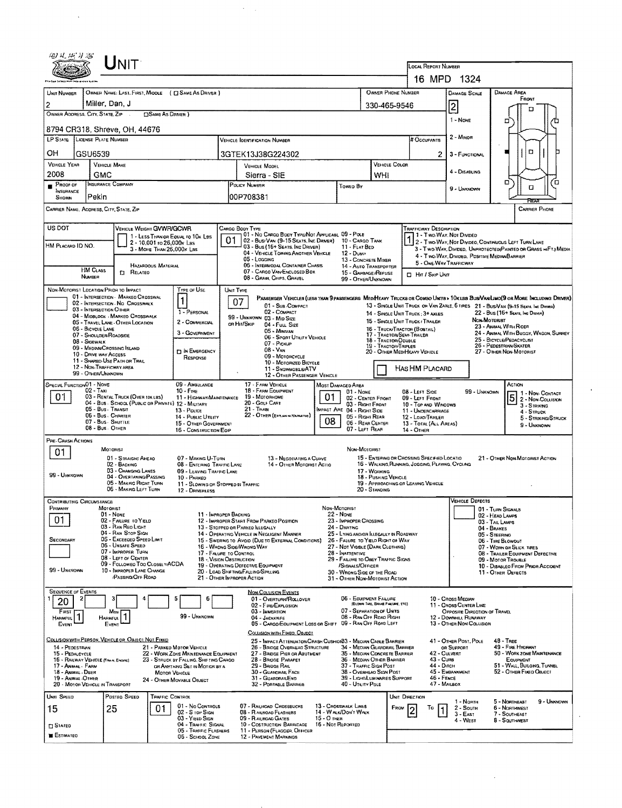|                                                        | Unit                                                            |                                                                                 |                       |                                                                                                                                                         |                                  |                                                          |                                  |                                                           |                                                                                                                          |                                                        |                                    |                                                                                                                                                                                                                   |  |  |  |  |
|--------------------------------------------------------|-----------------------------------------------------------------|---------------------------------------------------------------------------------|-----------------------|---------------------------------------------------------------------------------------------------------------------------------------------------------|----------------------------------|----------------------------------------------------------|----------------------------------|-----------------------------------------------------------|--------------------------------------------------------------------------------------------------------------------------|--------------------------------------------------------|------------------------------------|-------------------------------------------------------------------------------------------------------------------------------------------------------------------------------------------------------------------|--|--|--|--|
|                                                        |                                                                 |                                                                                 |                       |                                                                                                                                                         |                                  |                                                          |                                  |                                                           | LOCAL REPORT NUMBER                                                                                                      | 16 MPD 1324                                            |                                    |                                                                                                                                                                                                                   |  |  |  |  |
|                                                        |                                                                 | OWNER NAME: LAST, FIRST, MIDDLE ( C SAME AS DRIVER )                            |                       |                                                                                                                                                         |                                  |                                                          |                                  | OWNER PHONE NUMBER                                        |                                                                                                                          |                                                        |                                    | <b>DAMAGE AREA</b>                                                                                                                                                                                                |  |  |  |  |
| UNIT NUMBER                                            | Miller, Dan, J                                                  |                                                                                 |                       |                                                                                                                                                         |                                  |                                                          |                                  | <b>DAMAGE SCALE</b>                                       |                                                                                                                          | FRONT                                                  |                                    |                                                                                                                                                                                                                   |  |  |  |  |
| $\overline{2}$<br>OWNER ADDRESS, CITY, STATE, ZIP      | <b>CISAME AS DRIVER 1</b>                                       |                                                                                 |                       | 330-465-9546                                                                                                                                            |                                  | 2                                                        |                                  | п                                                         |                                                                                                                          |                                                        |                                    |                                                                                                                                                                                                                   |  |  |  |  |
| 8794 CR318, Shreve, OH, 44676                          |                                                                 |                                                                                 |                       |                                                                                                                                                         | 1 - NONE                         |                                                          | □                                |                                                           |                                                                                                                          |                                                        |                                    |                                                                                                                                                                                                                   |  |  |  |  |
| LP STATE LICENSE PLATE NUMBER                          |                                                                 |                                                                                 |                       |                                                                                                                                                         |                                  | <b># Occupants</b>                                       | 2 - Minon                        |                                                           |                                                                                                                          |                                                        |                                    |                                                                                                                                                                                                                   |  |  |  |  |
| OН<br>GSU6539                                          |                                                                 |                                                                                 |                       | 3GTEK13J38G224302                                                                                                                                       |                                  |                                                          | 2                                | □<br>3 - FUNCTIONAL                                       |                                                                                                                          |                                                        |                                    |                                                                                                                                                                                                                   |  |  |  |  |
| <b>VEHICLE YEAR</b><br>2008                            | <b>VEHICLE MAKE</b>                                             |                                                                                 |                       | VEHICLE MODEL                                                                                                                                           |                                  |                                                          |                                  | VEHICLE COLOR                                             |                                                                                                                          | 4 - DISABLING                                          |                                    |                                                                                                                                                                                                                   |  |  |  |  |
| PROOF OF                                               | GMC<br><b>INSURANCE COMPANY</b>                                 |                                                                                 |                       | Sierra - SIE<br>POLICY NUMBER                                                                                                                           |                                  | Towep By                                                 | WHI                              |                                                           |                                                                                                                          |                                                        |                                    | Ω,<br>้ต<br>α                                                                                                                                                                                                     |  |  |  |  |
| INSURANCE<br>Pekin<br>SHOWN                            |                                                                 |                                                                                 |                       | 00P708381                                                                                                                                               |                                  |                                                          |                                  |                                                           |                                                                                                                          | 9 - UNKNOWN                                            |                                    | RFA                                                                                                                                                                                                               |  |  |  |  |
|                                                        | CARRIER NAME, ADDRESS, CITY, STATE, ZIP<br><b>CARRIER PHONE</b> |                                                                                 |                       |                                                                                                                                                         |                                  |                                                          |                                  |                                                           |                                                                                                                          |                                                        |                                    |                                                                                                                                                                                                                   |  |  |  |  |
| US DOT                                                 |                                                                 | VEHICLE WEIGHT GVWR/GCWR                                                        |                       | Cargo Body Type                                                                                                                                         |                                  |                                                          |                                  |                                                           | <b>TRAFFICWAY DESCRIPTION</b>                                                                                            |                                                        |                                    |                                                                                                                                                                                                                   |  |  |  |  |
|                                                        |                                                                 | 1 - LESS THAN OR EQUAL TO 10K LOS<br>2 - 10,001 ro 26,000 x Las                 | 01                    | 01 - No CARGO BODY TYPE/NOT APPLICABL 09 - POLE<br>02 - Bus/VAN (9-15 SEATS, INC DRIVER)                                                                |                                  | 10 - CARGO TANK                                          |                                  |                                                           |                                                                                                                          | 1 - Two-War, Not Divideo                               |                                    | 2 - Two-Way, Not Divideo, Continuous Left Turn Lane                                                                                                                                                               |  |  |  |  |
| HM PLACARD ID NO.                                      |                                                                 | 3 - MORE THAN 26.000K LBS                                                       |                       | 03 - Bus (16+ Seats, Inc Driver)<br>04 - VEHICLE TOWING ANOTHER VEHICLE                                                                                 |                                  | 11 - FLAT BED<br>$12 - D$ <sub>UMP</sub>                 |                                  |                                                           |                                                                                                                          | 4 - Two-Way, Divideo, Positive Median Barrier          |                                    | 3 - Two-WAY, Divered, Unprotected Painted on Grass =>FTJ Media                                                                                                                                                    |  |  |  |  |
| <b>HM CLASS</b>                                        |                                                                 | <b>HAZARDOUS MATERIAL</b>                                                       |                       | 05 - LOGGING<br>06 - INTERMODAL CONTAINER CHASTS                                                                                                        |                                  | 13 - CONCHETE MIXER<br>14 - AUTO TRANSPORTER             |                                  |                                                           | 5 - ONE-WAY TRAFFICWAY                                                                                                   |                                                        |                                    |                                                                                                                                                                                                                   |  |  |  |  |
| NUMBER                                                 | <b>C1 RELATED</b>                                               |                                                                                 |                       | 07 - CARGO VAN/ENCLOSED BOX<br>08 - GRAW, CHIPS, GRAVEL                                                                                                 |                                  | 15 - GARBAGE /REFUSE<br>99 - OTHER/UNKNOWN               |                                  |                                                           | □ Hr / Skip Unit                                                                                                         |                                                        |                                    |                                                                                                                                                                                                                   |  |  |  |  |
| NON-MOTORIST LOCATION PRIOR TO IMPACT                  | 01 - INTERSECTION MARKEO CROSSWAL                               | TYPE OF USE                                                                     | UNIT TYPE             |                                                                                                                                                         |                                  |                                                          |                                  |                                                           |                                                                                                                          |                                                        |                                    |                                                                                                                                                                                                                   |  |  |  |  |
| 03 - INTERSECTION OTHER                                | 02 - INTERSECTION No CROSSWALK                                  | 1                                                                               | 07                    | 01 - Sus COMPACT                                                                                                                                        |                                  |                                                          |                                  |                                                           |                                                                                                                          |                                                        |                                    | PASSENGER VEHICLES (LESS THAN 9 PASSENGERS MEDIHEAVY TRUCKS OR COMBO UNITS > 10K LES BUSNAWLIMO(9 OR MORE INCLUDING DRIVER)<br>13 - SINGLE UNIT TRUCK OR VAN ZAXLE, 6 TIRES 21 - BUS/VAN (9-15 SEATS, INC DRIVER) |  |  |  |  |
|                                                        | 04 - MIDBLOCK - MARKEO CROSSWALK                                | 1 - PERSONAL<br>2 - COMMERCIAL                                                  |                       | 02 - COMPACT<br>99 - UNKNOWN 03 - MID SIZE                                                                                                              |                                  |                                                          |                                  |                                                           | 22 - Bus (16+ Sears, Inc Drover)<br>14 - SINGLE UNIT TRUCK: 3+ AXLES<br>NON-MOTORIST<br>15 - SINGLE UNIT TRUCK / TRAILER |                                                        |                                    |                                                                                                                                                                                                                   |  |  |  |  |
| 06 - BICYCLE LANE                                      | 05 - TRAVEL LANE - OTHER LOCATION                               | 3 - GOVERNMENT                                                                  |                       | OR HIT/SKIP<br>04 - FULL SIZE<br>05 - Minivan                                                                                                           |                                  |                                                          |                                  | 16 - TRUCK/TRACTOR (BOBTAIL)<br>17 - TRACTOR/SEMI-TRAILER |                                                                                                                          |                                                        |                                    | 23 - ANIMAL WITH RIDER<br>24 - ANIMAL WITH BUGGY, WAGON, SURREY                                                                                                                                                   |  |  |  |  |
| 07 - SHOULDER/ROADSIDE<br>08 - SIGEWALK                |                                                                 |                                                                                 |                       | 06 - Sport UTILITY VEHICLE<br>18 - TRACTOR DOUBLE<br>07 - Pickup                                                                                        |                                  |                                                          |                                  |                                                           |                                                                                                                          |                                                        |                                    | 25 - BICYCLE/PEDACYCLIST<br>26 - PEDESTRIAN/SKATER                                                                                                                                                                |  |  |  |  |
| 10 - DRIVE WAY ACCESS                                  | 09 - MEDIAN/CROSSING ISLAND                                     | <b>IT IN EMERGENCY</b><br>RESPONSE                                              |                       | $08 - V_{AN}$<br>09 - MOTORCYCLE                                                                                                                        |                                  | 19 - TRACTORITRIPLES<br>20 - OTHER MEDIHEAVY VEHICLE     |                                  |                                                           |                                                                                                                          | 27 - OTHER NON-MOTORIST                                |                                    |                                                                                                                                                                                                                   |  |  |  |  |
|                                                        | 11 - SHAREO-USE PATH OR TRAIL<br>12 - NON TRAFFICWAY AREA       |                                                                                 |                       | 10 - MOTORIZED BICYCLE<br>11 - SNOWMOBLE/ATV                                                                                                            |                                  |                                                          | HAS HM PLACARD                   |                                                           |                                                                                                                          |                                                        |                                    |                                                                                                                                                                                                                   |  |  |  |  |
| 99 - OTHER/UNKNOWN                                     |                                                                 |                                                                                 |                       | 12 - OTHER PASSENGER VEHICLE                                                                                                                            |                                  |                                                          |                                  |                                                           |                                                                                                                          |                                                        |                                    |                                                                                                                                                                                                                   |  |  |  |  |
| SPECIAL FUNCTION 01 - NONE<br>02 - Taxi                |                                                                 | 09 - AMBULANCE<br>$10 -$ Free                                                   |                       | 17 - FARM VEHICLE<br>MOST DAMAGED AREA<br>18 - FARM EQUIPMENT<br>$01 - N$ ONE<br>19 - Мотопноме                                                         |                                  |                                                          |                                  |                                                           | ACTION<br>08 - LEFT SIDE<br>99 - UNKNOWN                                                                                 |                                                        |                                    |                                                                                                                                                                                                                   |  |  |  |  |
| 01                                                     | 03 - RENTAL TRUCK (OVER 10KLBS)                                 | 11 - HIGHWAY/MAINTENANCE<br>04 - Bus - SCHOOL (PUBLIC OR PRIVATE) 12 - MILITARY |                       | 20 - Golf Cart                                                                                                                                          | 01                               | 02 - CENTER FRONT<br>03 - RIGHT FRONT                    |                                  |                                                           | 09 - LEPT FRONT<br>10 - TOP AND WINDOWS                                                                                  |                                                        |                                    | $\overline{5}$ $\overline{2}$ - Non-Contact<br>3 - STRIKING                                                                                                                                                       |  |  |  |  |
|                                                        | 05 - Bus - Transit<br>06 - Bus. CHARTER                         | 13 - Pouce<br>14 - PUBLIC UTILITY                                               |                       | $21 -$ Trang<br>22 - OTHER (EXPLAIN IN NARRATIVE)                                                                                                       | 80                               | IMPACT ARE 04 - RIGHT SIDE<br>05 - Right Rear            |                                  |                                                           | 11 - UNDERCARRIAGE<br>12 - LOAD/TRAILER                                                                                  |                                                        |                                    | 4 - STRUCK<br>5 - STRIKING/STRUCK                                                                                                                                                                                 |  |  |  |  |
|                                                        | 07 - Bus - SHUTTLE<br>08 - Bus. OIHER                           | 15 - OTHER GOVERNMENT<br>16 - CONSTRUCTION EOIP                                 |                       |                                                                                                                                                         |                                  | 06 - REAR CENTER<br>07 - LEFT REAR                       |                                  | 14 - Отнев                                                | 13 - TOTAL (ALL AREAS)                                                                                                   |                                                        |                                    | 9 - UNKNOWN                                                                                                                                                                                                       |  |  |  |  |
| <b>PRE-CRASH ACTIONS</b>                               |                                                                 |                                                                                 |                       |                                                                                                                                                         |                                  |                                                          |                                  |                                                           |                                                                                                                          |                                                        |                                    |                                                                                                                                                                                                                   |  |  |  |  |
| 01                                                     | <b>MOTORIST</b><br>01 - STRAIGHT AHEAD                          | 07 - MAKING U-TURN                                                              |                       | 13 - Negotiating a Curve                                                                                                                                |                                  | NON-MOTORIST                                             |                                  |                                                           | 15 - Entering or Crossing Specified Locatio                                                                              |                                                        |                                    | 21 - OTHER NON-MOTORIST ACTION                                                                                                                                                                                    |  |  |  |  |
|                                                        | 02 - BACKING<br>03 - CHANGING LANES                             | 08 - ENTERING TRAFFIC LAND<br>09 - LEAVING TRAFFIC LANE                         |                       | 14 - OTHER MOTORIST ACTIO                                                                                                                               |                                  |                                                          | 17 - WORKING                     | 16 - WALKING, RUNNING, JOSGING, PLAYING, CYCLING          |                                                                                                                          |                                                        |                                    |                                                                                                                                                                                                                   |  |  |  |  |
| 99 - UNKNOWN                                           | 04 - OVERTANING/PASSING<br>05 - MARING RIGHT TURN               | 10 - PARKED<br>11 - SLOWING OR STOPPED IN TRAFFIC                               |                       |                                                                                                                                                         |                                  |                                                          | 18 - PUSHING VEHICLE             | 19 - APPROACHING OR LEAVING VEHICLE                       |                                                                                                                          |                                                        |                                    |                                                                                                                                                                                                                   |  |  |  |  |
|                                                        | 06 - MAKING LEFT TURN                                           | 12 - DRIVERLESS                                                                 |                       |                                                                                                                                                         |                                  |                                                          | $20 -$ Standing                  |                                                           |                                                                                                                          |                                                        |                                    |                                                                                                                                                                                                                   |  |  |  |  |
| <b>CONTRIBUTING CIRCUMSTANCE</b><br>PRIMARY            | MOTORIST                                                        |                                                                                 |                       |                                                                                                                                                         | NON-MOTORIST                     |                                                          |                                  |                                                           |                                                                                                                          | VEHICLE DEFECTS                                        | 01 - TURN SIGNALS                  |                                                                                                                                                                                                                   |  |  |  |  |
| 01                                                     | $01 - None$<br>02 - FAILURE TO YIELD                            |                                                                                 | 11 - IMPROPER BACKING | 12 - IMPROPER START FROM PARKEO POSITION                                                                                                                |                                  | <b>22 - NONE</b><br>23 - IMPROPER CROSSING               |                                  |                                                           |                                                                                                                          |                                                        | 02 - HEAD LAMPS<br>03 - TAIL LAMPS |                                                                                                                                                                                                                   |  |  |  |  |
|                                                        | 03 - RAN REO LIGHT<br>04 - RAN STOP SIGN                        |                                                                                 |                       | 13 - STOPPED OR PARKED LLEGALLY<br>14 - Operating Vehicle in Negligent Manner                                                                           |                                  | 24 - DARTING<br>25 - LYING AND/OR ILLEGALLY IN ROADWAY   |                                  |                                                           |                                                                                                                          |                                                        | 04 - BRAKES<br>05 - STEERING       |                                                                                                                                                                                                                   |  |  |  |  |
| SECONOARY                                              | 05 - Exceeded Speed Limit<br>06 - UNSAFE SPEED                  |                                                                                 |                       | 15 - Swering to Avoid (Due to External Conditions)<br>26 - FALURE TO YIELD RIGHT OF WAY<br>16 - WHONG SIDE/WRONG WAY<br>27 - NOT VISBLE (DARK CLOTHING) |                                  |                                                          |                                  |                                                           |                                                                                                                          | 06 - TIRE BLOWOUT<br>07 - WORN OR SLICK TIRES          |                                    |                                                                                                                                                                                                                   |  |  |  |  |
|                                                        | 07 - Improper Turn<br>08 - LEFT OF CENTER                       |                                                                                 |                       | 28 - INATTENTIVE<br>17 - FALURE TO CONTROL<br>29 - FAILURE TO OBEY TRAFFIC SIGNS<br>18 - Vision Osstruction                                             |                                  |                                                          |                                  |                                                           |                                                                                                                          | 08 - TRAILER EQUIPMENT DEFECTIVE<br>09 - Motor Trouble |                                    |                                                                                                                                                                                                                   |  |  |  |  |
| 99 - UNKNOWN                                           | 09 - Followeo Too Closelv/ACDA<br>10 - IMPROPER LANE CHANGE     |                                                                                 |                       | 19 - OPERATING DEFECTIVE EQUIPMENT<br>/SIGNALS/OFFICER<br>20 - LOAD SHETING/FALLING/SPILLING<br>30 - WRONG SIDE OF THE ROAD                             |                                  |                                                          |                                  |                                                           |                                                                                                                          |                                                        |                                    | 10 - Disableo From Prior Accident<br>11 - OTHER DEFECTS                                                                                                                                                           |  |  |  |  |
|                                                        | <b>PASSING/OFF ROAD</b>                                         |                                                                                 |                       | 21 - OTHER IMPROPER ACTION                                                                                                                              |                                  | 31 - OTHER NON-MOTORIST ACTION                           |                                  |                                                           |                                                                                                                          |                                                        |                                    |                                                                                                                                                                                                                   |  |  |  |  |
| <b>SEQUENCE OF EVENTS</b><br>20                        | з                                                               | 5<br>6                                                                          |                       | <b>NON-COLLISION EVENTS</b><br>01 - OVERTURN/ROLLOVER                                                                                                   |                                  | 06 - EQUIPMENT FAILURE                                   |                                  |                                                           |                                                                                                                          | 10 - Cross Meoran                                      |                                    |                                                                                                                                                                                                                   |  |  |  |  |
| Fiast                                                  | Most                                                            |                                                                                 |                       | 02 - FIRE/EXPLOSION<br>03 - IMMERSION                                                                                                                   |                                  | 07 - SEPARATION OF UNITS                                 | (BLOWN TIRE, BRAKE FAILURE, ETC) |                                                           |                                                                                                                          | 11 - CROSS CENTER LINE<br>OPPOSITE DIRECTION OF TRAVEL |                                    |                                                                                                                                                                                                                   |  |  |  |  |
| <b>HAHMFUL</b><br>Event                                | Harmful.<br>EVENT                                               | 99 - UNKNOWN                                                                    |                       | 04 - JACKKNIFE<br>05 - CARGO/EQUIPMENT LOSS OR SHIFT 09 - RAN OFF ROAD LEFT                                                                             |                                  | 08 - RAN OFF ROAD RIGHT                                  |                                  |                                                           |                                                                                                                          | 12 - DOWNHILL RUNAWAY<br>13 - OTHER NON-COLLISION      |                                    |                                                                                                                                                                                                                   |  |  |  |  |
| COLLISION WITH PERSON, VEHICLE OR OBJECT, NOT FIXED    |                                                                 |                                                                                 |                       | COLLISION WITH FIXED, OBJECT                                                                                                                            |                                  |                                                          |                                  |                                                           |                                                                                                                          |                                                        |                                    |                                                                                                                                                                                                                   |  |  |  |  |
| 14 - PEDESTRIAN                                        |                                                                 | 21 - PARKED MOTOR VEHICLE                                                       |                       | 25 - IMPACT ATTENUATOR/CRASH CUSHION33 - MEDIAN CABLE BARRIER<br>26 - BRIDGE OVERHEAD STRUCTURE                                                         |                                  | 34 - Median Guardrail Barrier                            |                                  |                                                           |                                                                                                                          | 41 - OTHER POST, POLE<br>OR SUPPORT                    |                                    | 48 TREE<br>49 - FIRE HYDRANT                                                                                                                                                                                      |  |  |  |  |
| 15 - PEDALCYCLE<br>16 - RAILWAY VEHICLE (TRAN, ENGINE) |                                                                 | 22 - WORK ZONE MAINTENANCE EQUIPMENT<br>23 - STRUCK BY FALLING, SHIFTING CARGO  |                       | 27 - BRIDGE PIER OR ABUTMENT<br>28 - BROGE PARAPET                                                                                                      |                                  | 35 - MEOUN CONCRETE BARRIER<br>36 - MEQUAN OTHER BARRIER |                                  |                                                           | 42 - Culvert<br>43 - Cura                                                                                                |                                                        |                                    | 50 - WORK ZONE MAINTENANCE<br>EQUIPMENT                                                                                                                                                                           |  |  |  |  |
| 17 - Animal - Farm<br>18 - ANIMAL . DEER               |                                                                 | OR ANYTHING SET IN MOTION BY A<br>MOTOR VEHICLE                                 |                       | 29 - BRIDGE RAIL<br>30 - GUARORAIL FACE                                                                                                                 |                                  | 37 - TRAFFIC SIGN POST<br>38 - Overhead Sign Post        |                                  |                                                           | 44 - Олсн                                                                                                                | 45 - EMBANKMENT                                        |                                    | 51 - WALL, BUILOING, TUNNEL<br>52 - OTHER FIXED OBJECT                                                                                                                                                            |  |  |  |  |
| 19 - ANMAL-OTHER<br>20 - MOTOR VEHICLE IN TRANSPORT    |                                                                 | 24 - OTHER MOVABLE OBJECT                                                       |                       | 31 - GUARDRAILEND<br>32 - PORTABLE BARRIER                                                                                                              |                                  | 39 - Light/Luminaries Support<br>40 - UTILITY POLE       |                                  |                                                           | $46 -$ FENCE<br>47 - MAILBOX                                                                                             |                                                        |                                    |                                                                                                                                                                                                                   |  |  |  |  |
| UNIT SPEED                                             | POSTED SPEED                                                    | TRAFFIC CONTROL                                                                 |                       |                                                                                                                                                         |                                  |                                                          |                                  | UNIT DIRECTION                                            |                                                                                                                          | 1 - North                                              |                                    | 5 - NORTHEAST<br>9 - UNKNOWN                                                                                                                                                                                      |  |  |  |  |
| 15                                                     | 25                                                              | 01 - No CONTROLS<br>01.<br>$02 - S$ top $S$ ick                                 |                       | 07 - RAILNOAD CHOSSBUCKS<br>08 - R AILROAD FLASHERS                                                                                                     |                                  | 13 - CROSSWALK LINES<br>14 - WALK/DON'T WALK             |                                  | FROM                                                      | Τо                                                                                                                       | 2 - South<br>$3 - E$ AST                               |                                    | 6 - NORTHWEST<br>7 - SOUTHEAST                                                                                                                                                                                    |  |  |  |  |
| <b>SIATEO</b>                                          |                                                                 | 03 - YIELD SIGN<br>04 - TRAFFIC SIGNAL                                          |                       | 09 - RAILROAD GATES<br>10 - COSTRUCTION BARRICAGE                                                                                                       | 15 - О тиєн<br>16 - Not Reported |                                                          |                                  |                                                           |                                                                                                                          | 4 - West                                               |                                    | 8 - SOUTHWEST                                                                                                                                                                                                     |  |  |  |  |
| <b>ESTIMATEO</b>                                       |                                                                 | 05 - TRAFFIC FLASHERS<br>06 - SCHOOL ZONE                                       |                       | 11 - PERSON (FLAGGER, OFFICER<br>12 - PAVEMENT MARKINGS                                                                                                 |                                  |                                                          |                                  |                                                           |                                                                                                                          |                                                        |                                    |                                                                                                                                                                                                                   |  |  |  |  |

 $\bar{z}$ 

 $\Delta \phi$ 

 $\lambda_{\rm{max}}$ 

 $\sim 10^{-10}$